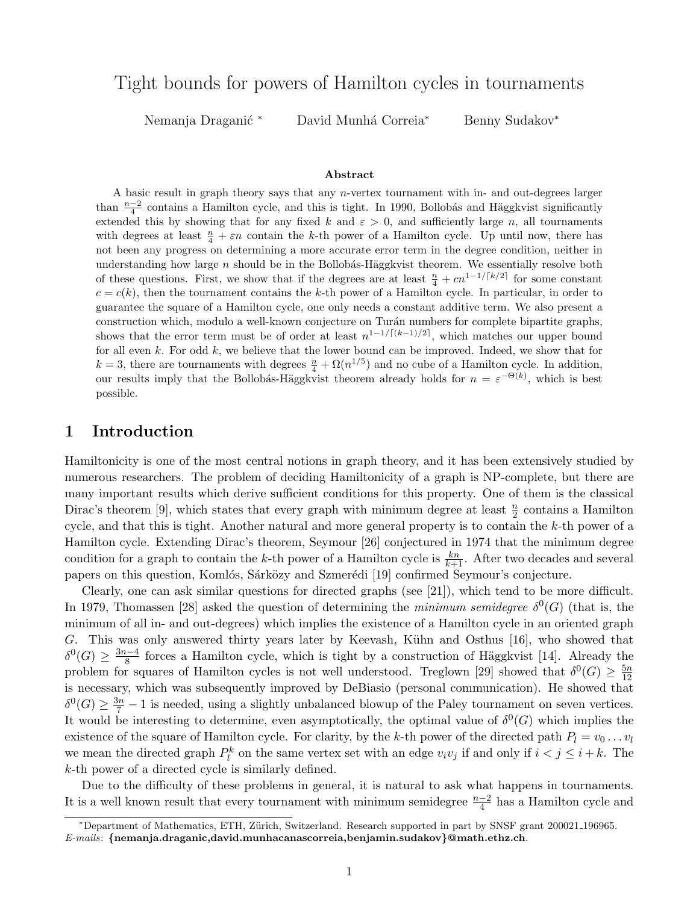# Tight bounds for powers of Hamilton cycles in tournaments

Nemanja Draganić \* David Munhá Correia<sup>\*</sup> Benny Sudakov<sup>\*</sup>

#### Abstract

A basic result in graph theory says that any n-vertex tournament with in- and out-degrees larger than  $\frac{n-2}{4}$  contains a Hamilton cycle, and this is tight. In 1990, Bollobás and Häggkvist significantly extended this by showing that for any fixed k and  $\varepsilon > 0$ , and sufficiently large n, all tournaments with degrees at least  $\frac{n}{4} + \varepsilon n$  contain the k-th power of a Hamilton cycle. Up until now, there has not been any progress on determining a more accurate error term in the degree condition, neither in understanding how large  $n$  should be in the Bollobás-Häggkvist theorem. We essentially resolve both of these questions. First, we show that if the degrees are at least  $\frac{n}{4} + cn^{1-1/[k/2]}$  for some constant  $c = c(k)$ , then the tournament contains the k-th power of a Hamilton cycle. In particular, in order to guarantee the square of a Hamilton cycle, one only needs a constant additive term. We also present a construction which, modulo a well-known conjecture on Turán numbers for complete bipartite graphs, shows that the error term must be of order at least  $n^{1-1/((k-1)/2)}$ , which matches our upper bound for all even  $k$ . For odd  $k$ , we believe that the lower bound can be improved. Indeed, we show that for  $k = 3$ , there are tournaments with degrees  $\frac{n}{4} + \Omega(n^{1/5})$  and no cube of a Hamilton cycle. In addition, our results imply that the Bollobás-Häggkvist theorem already holds for  $n = \varepsilon^{-\Theta(k)}$ , which is best possible.

# 1 Introduction

Hamiltonicity is one of the most central notions in graph theory, and it has been extensively studied by numerous researchers. The problem of deciding Hamiltonicity of a graph is NP-complete, but there are many important results which derive sufficient conditions for this property. One of them is the classical Dirac's theorem [\[9\]](#page-24-0), which states that every graph with minimum degree at least  $\frac{n}{2}$  contains a Hamilton cycle, and that this is tight. Another natural and more general property is to contain the k-th power of a Hamilton cycle. Extending Dirac's theorem, Seymour [\[26\]](#page-25-0) conjectured in 1974 that the minimum degree condition for a graph to contain the k-th power of a Hamilton cycle is  $\frac{kn}{k+1}$ . After two decades and several papers on this question, Komlós, Sárközy and Szmerédi [\[19\]](#page-25-1) confirmed Seymour's conjecture.

Clearly, one can ask similar questions for directed graphs (see [\[21\]](#page-25-2)), which tend to be more difficult. In 1979, Thomassen [\[28\]](#page-25-3) asked the question of determining the minimum semidegree  $\delta^0(G)$  (that is, the minimum of all in- and out-degrees) which implies the existence of a Hamilton cycle in an oriented graph G. This was only answered thirty years later by Keevash, Kühn and Osthus [\[16\]](#page-25-4), who showed that  $\delta^0(G) \geq \frac{3n-4}{8}$  $\frac{8^{n-4}}{8}$  forces a Hamilton cycle, which is tight by a construction of Häggkvist [\[14\]](#page-25-5). Already the problem for squares of Hamilton cycles is not well understood. Treglown [\[29\]](#page-25-6) showed that  $\delta^0(G) \geq \frac{5n}{12}$ 12 is necessary, which was subsequently improved by DeBiasio (personal communication). He showed that  $\delta^0(G) \geq \frac{3n}{7} - 1$  is needed, using a slightly unbalanced blowup of the Paley tournament on seven vertices. It would be interesting to determine, even asymptotically, the optimal value of  $\delta^0(G)$  which implies the existence of the square of Hamilton cycle. For clarity, by the k-th power of the directed path  $P_l = v_0 \dots v_l$ we mean the directed graph  $P_l^k$  on the same vertex set with an edge  $v_i v_j$  if and only if  $i < j \leq i + k$ . The k-th power of a directed cycle is similarly defined.

Due to the difficulty of these problems in general, it is natural to ask what happens in tournaments. It is a well known result that every tournament with minimum semidegree  $\frac{n-2}{4}$  has a Hamilton cycle and

<sup>∗</sup>Department of Mathematics, ETH, Z¨urich, Switzerland. Research supported in part by SNSF grant 200021 196965.  $E\text{-}mails:$  {nemanja.draganic,david.munhacanascorreia,benjamin.sudakov}@math.ethz.ch.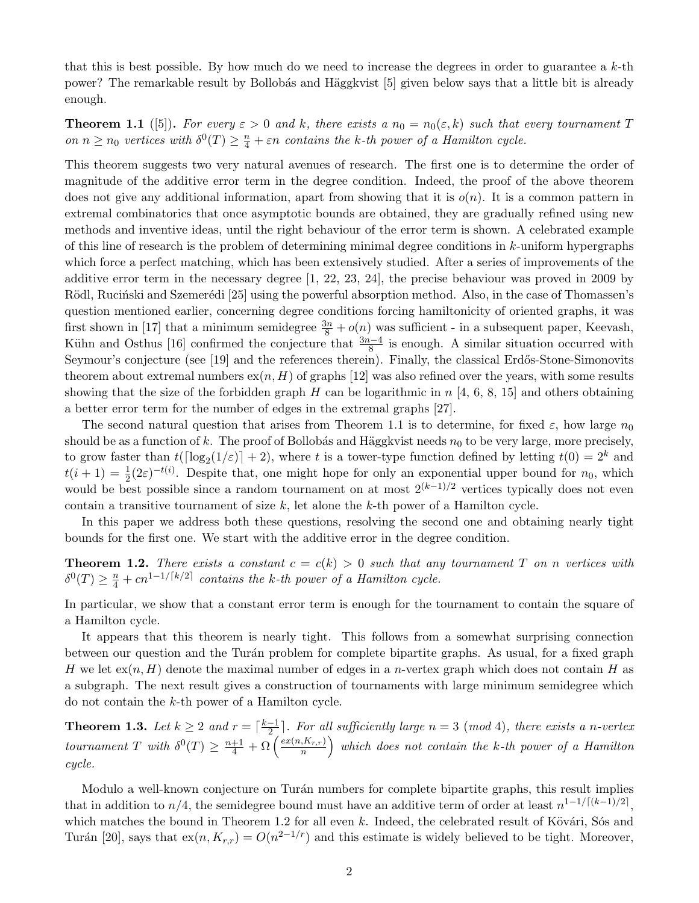that this is best possible. By how much do we need to increase the degrees in order to guarantee a  $k$ -th power? The remarkable result by Bollobás and Häggkvist [\[5\]](#page-24-1) given below says that a little bit is already enough.

<span id="page-1-0"></span>**Theorem 1.1** ([\[5\]](#page-24-1)). For every  $\varepsilon > 0$  and k, there exists a  $n_0 = n_0(\varepsilon, k)$  such that every tournament T on  $n \geq n_0$  vertices with  $\delta^0(T) \geq \frac{n}{4} + \varepsilon n$  contains the k-th power of a Hamilton cycle.

This theorem suggests two very natural avenues of research. The first one is to determine the order of magnitude of the additive error term in the degree condition. Indeed, the proof of the above theorem does not give any additional information, apart from showing that it is  $o(n)$ . It is a common pattern in extremal combinatorics that once asymptotic bounds are obtained, they are gradually refined using new methods and inventive ideas, until the right behaviour of the error term is shown. A celebrated example of this line of research is the problem of determining minimal degree conditions in  $k$ -uniform hypergraphs which force a perfect matching, which has been extensively studied. After a series of improvements of the additive error term in the necessary degree [\[1,](#page-24-2) [22,](#page-25-7) [23,](#page-25-8) [24\]](#page-25-9), the precise behaviour was proved in 2009 by Rödl, Rucinski and Szemerédi [\[25\]](#page-25-10) using the powerful absorption method. Also, in the case of Thomassen's question mentioned earlier, concerning degree conditions forcing hamiltonicity of oriented graphs, it was first shown in [\[17\]](#page-25-11) that a minimum semidegree  $\frac{3n}{8} + o(n)$  was sufficient - in a subsequent paper, Keevash, Kühn and Osthus [\[16\]](#page-25-4) confirmed the conjecture that  $\frac{3n-4}{8}$  is enough. A similar situation occurred with Seymour's conjecture (see [\[19\]](#page-25-1) and the references therein). Finally, the classical Erdős-Stone-Simonovits theorem about extremal numbers  $ex(n, H)$  of graphs [\[12\]](#page-25-12) was also refined over the years, with some results showing that the size of the forbidden graph H can be logarithmic in  $n \; [4, 6, 8, 15]$  $n \; [4, 6, 8, 15]$  $n \; [4, 6, 8, 15]$  $n \; [4, 6, 8, 15]$  $n \; [4, 6, 8, 15]$  and others obtaining a better error term for the number of edges in the extremal graphs [\[27\]](#page-25-14).

The second natural question that arises from Theorem [1.1](#page-1-0) is to determine, for fixed  $\varepsilon$ , how large  $n_0$ should be as a function of k. The proof of Bollobás and Häggkvist needs  $n_0$  to be very large, more precisely, to grow faster than  $t(\lceil \log_2(1/\varepsilon) \rceil + 2)$ , where t is a tower-type function defined by letting  $t(0) = 2^k$  and  $t(i + 1) = \frac{1}{2}(2\varepsilon)^{-t(i)}$ . Despite that, one might hope for only an exponential upper bound for  $n_0$ , which would be best possible since a random tournament on at most  $2^{(k-1)/2}$  vertices typically does not even contain a transitive tournament of size  $k$ , let alone the  $k$ -th power of a Hamilton cycle.

In this paper we address both these questions, resolving the second one and obtaining nearly tight bounds for the first one. We start with the additive error in the degree condition.

<span id="page-1-1"></span>**Theorem 1.2.** There exists a constant  $c = c(k) > 0$  such that any tournament T on n vertices with  $\delta^0(T) \geq \frac{n}{4} + cn^{1-1/\lceil k/2 \rceil}$  contains the k-th power of a Hamilton cycle.

In particular, we show that a constant error term is enough for the tournament to contain the square of a Hamilton cycle.

It appears that this theorem is nearly tight. This follows from a somewhat surprising connection between our question and the Turán problem for complete bipartite graphs. As usual, for a fixed graph H we let  $ex(n, H)$  denote the maximal number of edges in a *n*-vertex graph which does not contain H as a subgraph. The next result gives a construction of tournaments with large minimum semidegree which do not contain the k-th power of a Hamilton cycle.

<span id="page-1-2"></span>**Theorem 1.3.** Let  $k \geq 2$  and  $r = \lceil \frac{k-1}{2} \rceil$  $\frac{-1}{2}$ . For all sufficiently large  $n = 3 \pmod{4}$ , there exists a n-vertex tournament T with  $\delta^0(T) \geq \frac{n+1}{4} + \Omega\left(\frac{ex(n,K_{r,r})}{n}\right)$  $\binom{K_{r,r}}{n}$  which does not contain the k-th power of a Hamilton cycle.

Modulo a well-known conjecture on Turán numbers for complete bipartite graphs, this result implies that in addition to  $n/4$ , the semidegree bound must have an additive term of order at least  $n^{1-1/[(k-1)/2]}$ , which matches the bound in Theorem [1.2](#page-1-1) for all even  $k$ . Indeed, the celebrated result of Kövári, Sós and Turán [\[20\]](#page-25-15), says that  $ex(n, K_{r,r}) = O(n^{2-1/r})$  and this estimate is widely believed to be tight. Moreover,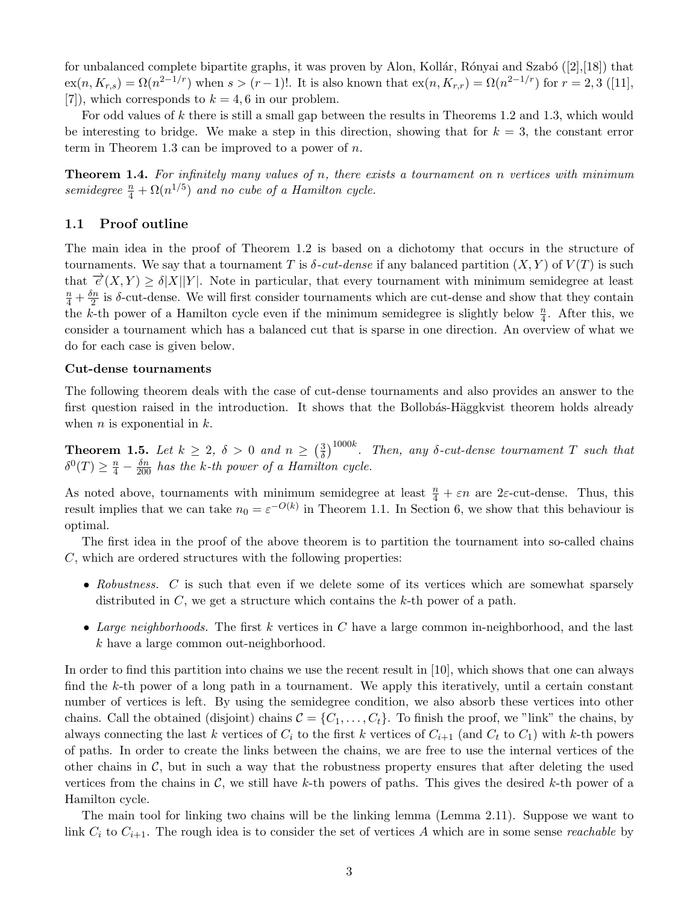for unbalanced complete bipartite graphs, it was proven by Alon, Kollár, Rónyai and Szabó ([\[2\]](#page-24-6),[\[18\]](#page-25-16)) that  $\exp(n, K_{r,s}) = \Omega(n^{2-1/r})$  when  $s > (r-1)!$ . It is also known that  $\exp(n, K_{r,r}) = \Omega(n^{2-1/r})$  for  $r = 2, 3$  ([\[11\]](#page-25-17), [\[7\]](#page-24-7)), which corresponds to  $k = 4, 6$  in our problem.

For odd values of k there is still a small gap between the results in Theorems [1.2](#page-1-1) and [1.3,](#page-1-2) which would be interesting to bridge. We make a step in this direction, showing that for  $k = 3$ , the constant error term in Theorem [1.3](#page-1-2) can be improved to a power of  $n$ .

<span id="page-2-1"></span>**Theorem 1.4.** For infinitely many values of n, there exists a tournament on n vertices with minimum semidegree  $\frac{n}{4} + \Omega(n^{1/5})$  and no cube of a Hamilton cycle.

## <span id="page-2-2"></span>1.1 Proof outline

The main idea in the proof of Theorem [1.2](#page-1-1) is based on a dichotomy that occurs in the structure of tournaments. We say that a tournament T is  $\delta$ -cut-dense if any balanced partition  $(X, Y)$  of  $V(T)$  is such that  $\overrightarrow{e}(X, Y) \geq \delta |X||Y|$ . Note in particular, that every tournament with minimum semidegree at least  $\frac{n}{4}+\frac{\delta n}{2}$  $\frac{2n}{2}$  is  $\delta$ -cut-dense. We will first consider tournaments which are cut-dense and show that they contain the k-th power of a Hamilton cycle even if the minimum semidegree is slightly below  $\frac{n}{4}$ . After this, we consider a tournament which has a balanced cut that is sparse in one direction. An overview of what we do for each case is given below.

#### Cut-dense tournaments

The following theorem deals with the case of cut-dense tournaments and also provides an answer to the first question raised in the introduction. It shows that the Bollobás-Häggkvist theorem holds already when  $n$  is exponential in  $k$ .

<span id="page-2-0"></span>**Theorem 1.5.** Let  $k \geq 2$ ,  $\delta > 0$  and  $n \geq \left(\frac{3}{\delta}\right)$  $\frac{3}{\delta})^{1000k}$ . Then, any  $\delta$ -cut-dense tournament T such that  $\delta^0(T) \geq \frac{n}{4} - \frac{\delta n}{200}$  has the k-th power of a Hamilton cycle.

As noted above, tournaments with minimum semidegree at least  $\frac{n}{4} + \varepsilon n$  are 2 $\varepsilon$ -cut-dense. Thus, this result implies that we can take  $n_0 = \varepsilon^{-O(k)}$  in Theorem [1.1.](#page-1-0) In Section [6,](#page-22-0) we show that this behaviour is optimal.

The first idea in the proof of the above theorem is to partition the tournament into so-called chains  $C$ , which are ordered structures with the following properties:

- Robustness. C is such that even if we delete some of its vertices which are somewhat sparsely distributed in C, we get a structure which contains the k-th power of a path.
- Large neighborhoods. The first  $k$  vertices in  $C$  have a large common in-neighborhood, and the last k have a large common out-neighborhood.

In order to find this partition into chains we use the recent result in [\[10\]](#page-24-8), which shows that one can always find the k-th power of a long path in a tournament. We apply this iteratively, until a certain constant number of vertices is left. By using the semidegree condition, we also absorb these vertices into other chains. Call the obtained (disjoint) chains  $C = \{C_1, \ldots, C_t\}$ . To finish the proof, we "link" the chains, by always connecting the last k vertices of  $C_i$  to the first k vertices of  $C_{i+1}$  (and  $C_t$  to  $C_1$ ) with k-th powers of paths. In order to create the links between the chains, we are free to use the internal vertices of the other chains in  $\mathcal{C}$ , but in such a way that the robustness property ensures that after deleting the used vertices from the chains in  $\mathcal{C}$ , we still have k-th powers of paths. This gives the desired k-th power of a Hamilton cycle.

The main tool for linking two chains will be the linking lemma (Lemma [2.11\)](#page-7-0). Suppose we want to link  $C_i$  to  $C_{i+1}$ . The rough idea is to consider the set of vertices A which are in some sense reachable by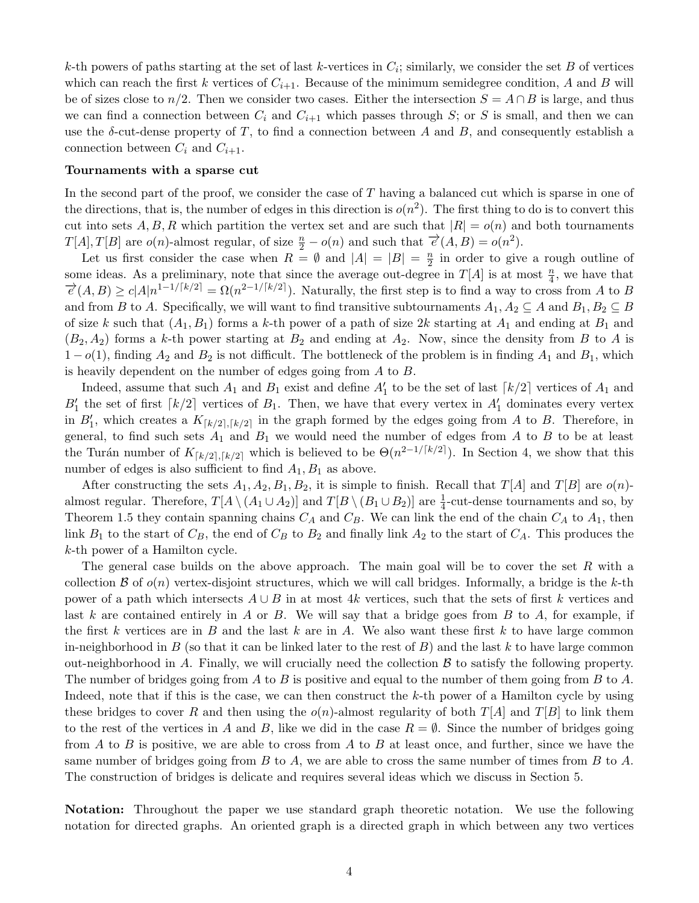k-th powers of paths starting at the set of last k-vertices in  $C_i$ ; similarly, we consider the set B of vertices which can reach the first k vertices of  $C_{i+1}$ . Because of the minimum semidegree condition, A and B will be of sizes close to  $n/2$ . Then we consider two cases. Either the intersection  $S = A \cap B$  is large, and thus we can find a connection between  $C_i$  and  $C_{i+1}$  which passes through S; or S is small, and then we can use the  $\delta$ -cut-dense property of T, to find a connection between A and B, and consequently establish a connection between  $C_i$  and  $C_{i+1}$ .

#### Tournaments with a sparse cut

In the second part of the proof, we consider the case of T having a balanced cut which is sparse in one of the directions, that is, the number of edges in this direction is  $o(n^2)$ . The first thing to do is to convert this cut into sets A, B, R which partition the vertex set and are such that  $|R| = o(n)$  and both tournaments  $T[A], T[B]$  are  $o(n)$ -almost regular, of size  $\frac{n}{2} - o(n)$  and such that  $\overrightarrow{e}(A, B) = o(n^2)$ .

Let us first consider the case when  $R = \emptyset$  and  $|A| = |B| = \frac{n}{2}$  $\frac{n}{2}$  in order to give a rough outline of some ideas. As a preliminary, note that since the average out-degree in  $T[A]$  is at most  $\frac{n}{4}$ , we have that  $\vec{e}(A,B) \ge c|A|n^{1-1/[k/2]} = \Omega(n^{2-1/[k/2]})$ . Naturally, the first step is to find a way to cross from A to B and from B to A. Specifically, we will want to find transitive subtournaments  $A_1, A_2 \subseteq A$  and  $B_1, B_2 \subseteq B$ of size k such that  $(A_1, B_1)$  forms a k-th power of a path of size 2k starting at  $A_1$  and ending at  $B_1$  and  $(B_2, A_2)$  forms a k-th power starting at  $B_2$  and ending at  $A_2$ . Now, since the density from B to A is  $1-o(1)$ , finding  $A_2$  and  $B_2$  is not difficult. The bottleneck of the problem is in finding  $A_1$  and  $B_1$ , which is heavily dependent on the number of edges going from A to B.

Indeed, assume that such  $A_1$  and  $B_1$  exist and define  $A_1'$  to be the set of last  $\lceil k/2 \rceil$  vertices of  $A_1$  and  $B_1'$  the set of first  $\lceil k/2 \rceil$  vertices of  $B_1$ . Then, we have that every vertex in  $A_1'$  dominates every vertex in  $B'_1$ , which creates a  $K_{\lceil k/2 \rceil, \lceil k/2 \rceil}$  in the graph formed by the edges going from A to B. Therefore, in general, to find such sets  $A_1$  and  $B_1$  we would need the number of edges from A to B to be at least the Turán number of  $K_{\lceil k/2 \rceil, \lceil k/2 \rceil}$  which is believed to be  $\Theta(n^{2-1/\lceil k/2 \rceil})$ . In Section [4,](#page-12-0) we show that this number of edges is also sufficient to find  $A_1, B_1$  as above.

After constructing the sets  $A_1, A_2, B_1, B_2$ , it is simple to finish. Recall that  $T[A]$  and  $T[B]$  are  $o(n)$ almost regular. Therefore,  $T[A \setminus (A_1 \cup A_2)]$  and  $T[B \setminus (B_1 \cup B_2)]$  are  $\frac{1}{4}$ -cut-dense tournaments and so, by Theorem [1.5](#page-2-0) they contain spanning chains  $C_A$  and  $C_B$ . We can link the end of the chain  $C_A$  to  $A_1$ , then link  $B_1$  to the start of  $C_B$ , the end of  $C_B$  to  $B_2$  and finally link  $A_2$  to the start of  $C_A$ . This produces the k-th power of a Hamilton cycle.

The general case builds on the above approach. The main goal will be to cover the set  $R$  with a collection  $\mathcal B$  of  $o(n)$  vertex-disjoint structures, which we will call bridges. Informally, a bridge is the k-th power of a path which intersects  $A \cup B$  in at most 4k vertices, such that the sets of first k vertices and last k are contained entirely in A or B. We will say that a bridge goes from B to A, for example, if the first k vertices are in B and the last k are in A. We also want these first k to have large common in-neighborhood in B (so that it can be linked later to the rest of B) and the last k to have large common out-neighborhood in A. Finally, we will crucially need the collection  $\beta$  to satisfy the following property. The number of bridges going from A to B is positive and equal to the number of them going from B to A. Indeed, note that if this is the case, we can then construct the  $k$ -th power of a Hamilton cycle by using these bridges to cover R and then using the  $o(n)$ -almost regularity of both  $T[A]$  and  $T[B]$  to link them to the rest of the vertices in A and B, like we did in the case  $R = \emptyset$ . Since the number of bridges going from A to B is positive, we are able to cross from A to B at least once, and further, since we have the same number of bridges going from B to A, we are able to cross the same number of times from B to A. The construction of bridges is delicate and requires several ideas which we discuss in Section [5.](#page-14-0)

Notation: Throughout the paper we use standard graph theoretic notation. We use the following notation for directed graphs. An oriented graph is a directed graph in which between any two vertices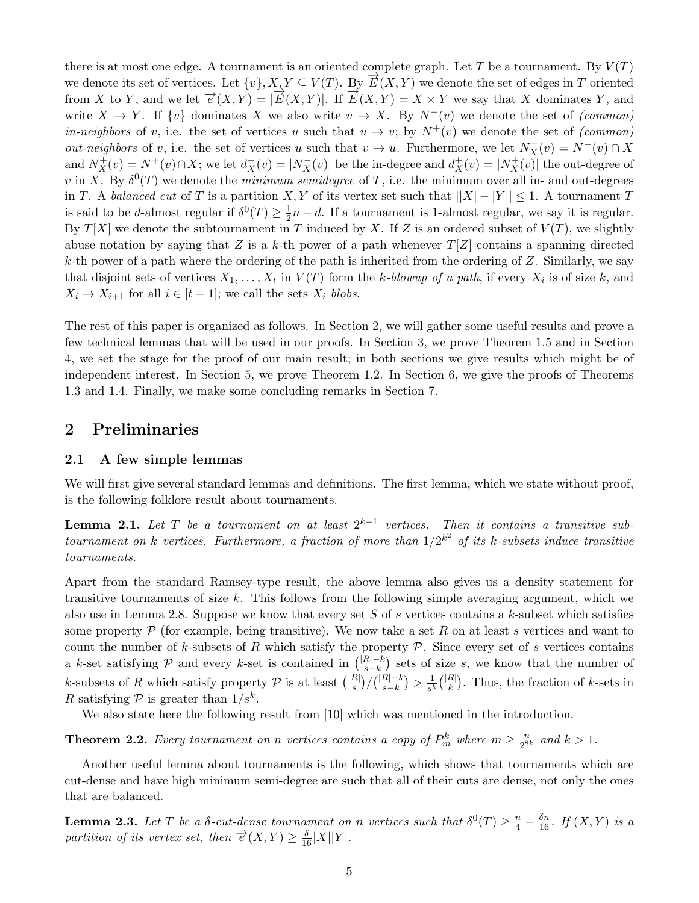there is at most one edge. A tournament is an oriented complete graph. Let T be a tournament. By  $V(T)$ we denote its set of vertices. Let  $\{v\}, X, Y \subseteq V(T)$ . By  $\overrightarrow{E}(X, Y)$  we denote the set of edges in T oriented from X to Y, and we let  $\vec{\epsilon}(X,Y) = |\vec{E}(X,Y)|$ . If  $\vec{E}(X,Y) = X \times Y$  we say that X dominates Y, and write  $X \to Y$ . If  $\{v\}$  dominates X we also write  $v \to X$ . By  $N^-(v)$  we denote the set of (common) *in-neighbors* of v, i.e. the set of vertices u such that  $u \to v$ ; by  $N^+(v)$  we denote the set of (common) *out-neighbors* of v, i.e. the set of vertices u such that  $v \to u$ . Furthermore, we let  $N_X^-(v) = N^-(v) \cap X$ and  $N_X^+(v) = N^+(v) \cap X$ ; we let  $d_X^-(v) = |N_X^-(v)|$  be the in-degree and  $d_X^+(v) = |N_X^+(v)|$  the out-degree of v in X. By  $\delta^0(T)$  we denote the *minimum semidegree* of T, i.e. the minimum over all in- and out-degrees in T. A balanced cut of T is a partition X, Y of its vertex set such that  $||X| - |Y|| \leq 1$ . A tournament T is said to be *d*-almost regular if  $\delta^0(T) \geq \frac{1}{2}$  $\frac{1}{2}n - d$ . If a tournament is 1-almost regular, we say it is regular. By  $T[X]$  we denote the subtournament in T induced by X. If Z is an ordered subset of  $V(T)$ , we slightly abuse notation by saying that Z is a k-th power of a path whenever  $T[Z]$  contains a spanning directed k-th power of a path where the ordering of the path is inherited from the ordering of  $Z$ . Similarly, we say that disjoint sets of vertices  $X_1, \ldots, X_t$  in  $V(T)$  form the k-blowup of a path, if every  $X_i$  is of size k, and  $X_i \to X_{i+1}$  for all  $i \in [t-1]$ ; we call the sets  $X_i$  blobs.

The rest of this paper is organized as follows. In Section [2,](#page-4-0) we will gather some useful results and prove a few technical lemmas that will be used in our proofs. In Section [3,](#page-10-0) we prove Theorem [1.5](#page-2-0) and in Section [4,](#page-12-0) we set the stage for the proof of our main result; in both sections we give results which might be of independent interest. In Section [5,](#page-14-0) we prove Theorem [1.2.](#page-1-1) In Section [6,](#page-22-0) we give the proofs of Theorems [1.3](#page-1-2) and [1.4.](#page-2-1) Finally, we make some concluding remarks in Section [7.](#page-24-9)

# <span id="page-4-0"></span>2 Preliminaries

## 2.1 A few simple lemmas

We will first give several standard lemmas and definitions. The first lemma, which we state without proof, is the following folklore result about tournaments.

<span id="page-4-1"></span>**Lemma 2.1.** Let T be a tournament on at least  $2^{k-1}$  vertices. Then it contains a transitive subtournament on k vertices. Furthermore, a fraction of more than  $1/2^{k^2}$  of its k-subsets induce transitive tournaments.

Apart from the standard Ramsey-type result, the above lemma also gives us a density statement for transitive tournaments of size  $k$ . This follows from the following simple averaging argument, which we also use in Lemma [2.8.](#page-6-0) Suppose we know that every set S of s vertices contains a  $k$ -subset which satisfies some property  $P$  (for example, being transitive). We now take a set R on at least s vertices and want to count the number of k-subsets of R which satisfy the property  $P$ . Since every set of s vertices contains a k-set satisfying P and every k-set is contained in  $\binom{|R|-k}{s-k}$  $\binom{R}{s-k}$  sets of size s, we know that the number of k-subsets of R which satisfy property  $\mathcal P$  is at least  $\binom{|R|}{s}$  $_{s}^{R|}\bigr)/\bigr( \substack{|R|-k\ s-k}$  $_{s-k}^{R|-k}) > \frac{1}{s^k}$  $\frac{1}{s^k} \binom{|R|}{k}$  $\binom{R}{k}$ . Thus, the fraction of k-sets in R satisfying  $P$  is greater than  $1/s^k$ .

We also state here the following result from [\[10\]](#page-24-8) which was mentioned in the introduction.

<span id="page-4-2"></span>**Theorem 2.2.** Every tournament on n vertices contains a copy of  $P_m^k$  where  $m \geq \frac{n}{2^8}$  $\frac{n}{2^{8k}}$  and  $k > 1$ .

Another useful lemma about tournaments is the following, which shows that tournaments which are cut-dense and have high minimum semi-degree are such that all of their cuts are dense, not only the ones that are balanced.

<span id="page-4-3"></span>**Lemma 2.3.** Let T be a  $\delta$ -cut-dense tournament on n vertices such that  $\delta^0(T) \geq \frac{n}{4} - \frac{\delta n}{16}$ . If  $(X, Y)$  is a partition of its vertex set, then  $\vec{e}(X,Y) \ge \frac{\delta}{16}|X||Y|$ .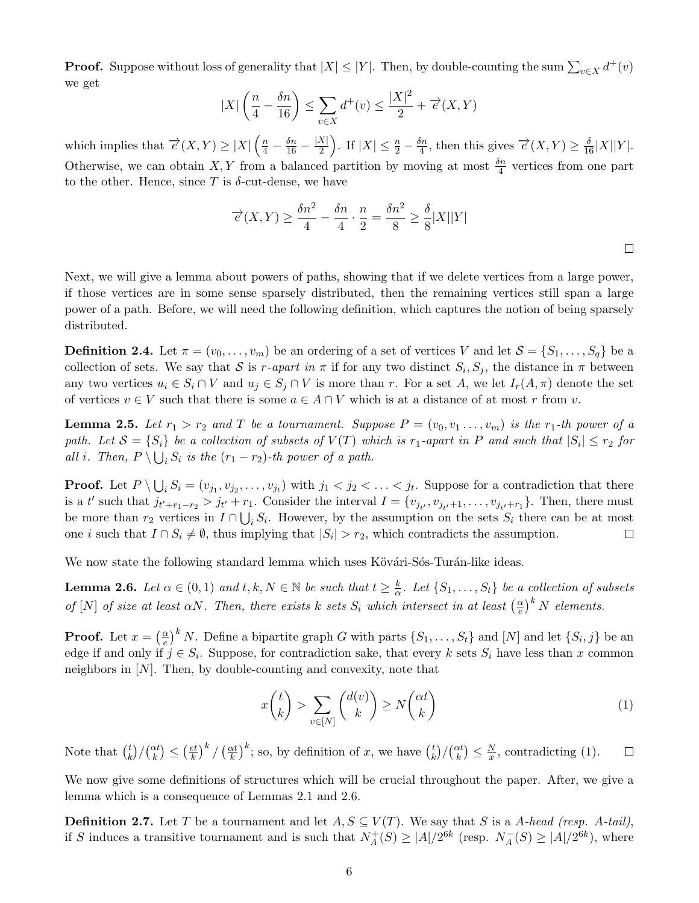**Proof.** Suppose without loss of generality that  $|X| \leq |Y|$ . Then, by double-counting the sum  $\sum_{v \in X} d^+(v)$ we get

$$
|X| \left(\frac{n}{4} - \frac{\delta n}{16}\right) \le \sum_{v \in X} d^+(v) \le \frac{|X|^2}{2} + \overrightarrow{e}(X, Y)
$$

which implies that  $\overrightarrow{e}(X,Y) \geq |X| \left(\frac{n}{4} - \frac{\delta n}{16} - \frac{|X|}{2}\right)$  $\frac{|X|}{2}$ . If  $|X| \leq \frac{n}{2} - \frac{\delta n}{4}$  $\frac{\delta n}{4}$ , then this gives  $\overrightarrow{e}(X,Y) \geq \frac{\delta}{16}|X||Y|$ . Otherwise, we can obtain X, Y from a balanced partition by moving at most  $\frac{\delta n}{4}$  vertices from one part to the other. Hence, since T is  $\delta$ -cut-dense, we have

$$
\overrightarrow{e}(X,Y) \ge \frac{\delta n^2}{4} - \frac{\delta n}{4} \cdot \frac{n}{2} = \frac{\delta n^2}{8} \ge \frac{\delta}{8}|X||Y|
$$

 $\Box$ 

Next, we will give a lemma about powers of paths, showing that if we delete vertices from a large power, if those vertices are in some sense sparsely distributed, then the remaining vertices still span a large power of a path. Before, we will need the following definition, which captures the notion of being sparsely distributed.

**Definition 2.4.** Let  $\pi = (v_0, \ldots, v_m)$  be an ordering of a set of vertices V and let  $S = \{S_1, \ldots, S_q\}$  be a collection of sets. We say that S is r-apart in  $\pi$  if for any two distinct  $S_i$ ,  $S_j$ , the distance in  $\pi$  between any two vertices  $u_i \in S_i \cap V$  and  $u_j \in S_j \cap V$  is more than r. For a set A, we let  $I_r(A, \pi)$  denote the set of vertices  $v \in V$  such that there is some  $a \in A \cap V$  which is at a distance of at most r from v.

<span id="page-5-2"></span>**Lemma 2.5.** Let  $r_1 > r_2$  and T be a tournament. Suppose  $P = (v_0, v_1, \ldots, v_m)$  is the  $r_1$ -th power of a path. Let  $S = \{S_i\}$  be a collection of subsets of  $V(T)$  which is  $r_1$ -apart in P and such that  $|S_i| \leq r_2$  for all i. Then,  $P \setminus \bigcup_i S_i$  is the  $(r_1 - r_2)$ -th power of a path.

**Proof.** Let  $P \setminus \bigcup_i S_i = (v_{j_1}, v_{j_2}, \dots, v_{j_t})$  with  $j_1 < j_2 < \dots < j_t$ . Suppose for a contradiction that there is a t' such that  $j_{t'+r_1-r_2} > j_{t'} + r_1$ . Consider the interval  $I = \{v_{j_{t'}}, v_{j_{t'}+1}, \ldots, v_{j_{t'}+r_1}\}$ . Then, there must be more than  $r_2$  vertices in  $I \cap \bigcup_i S_i$ . However, by the assumption on the sets  $S_i$  there can be at most one *i* such that  $I \cap S_i \neq \emptyset$ , thus implying that  $|S_i| > r_2$ , which contradicts the assumption.  $\Box$ 

We now state the following standard lemma which uses Kövári-Sós-Turán-like ideas.

<span id="page-5-1"></span>**Lemma 2.6.** Let  $\alpha \in (0,1)$  and  $t, k, N \in \mathbb{N}$  be such that  $t \geq \frac{k}{\alpha}$  $\frac{k}{\alpha}$ . Let  $\{S_1, \ldots, S_t\}$  be a collection of subsets of [N] of size at least  $\alpha N$ . Then, there exists k sets  $S_i$  which intersect in at least  $\left(\frac{\alpha}{e}\right)$  $\left(\frac{\alpha}{e}\right)^k$  N elements.

**Proof.** Let  $x = \begin{pmatrix} \frac{\alpha}{e} \end{pmatrix}$  $\frac{(\alpha)}{e}^k$  N. Define a bipartite graph G with parts  $\{S_1, \ldots, S_t\}$  and  $[N]$  and let  $\{S_i, j\}$  be an edge if and only if  $j \in S_i$ . Suppose, for contradiction sake, that every k sets  $S_i$  have less than x common neighbors in  $[N]$ . Then, by double-counting and convexity, note that

<span id="page-5-0"></span>
$$
x\binom{t}{k} > \sum_{v \in [N]} \binom{d(v)}{k} \ge N\binom{\alpha t}{k} \tag{1}
$$

 $\left(\frac{et}{k}\right)^k/\left(\frac{\alpha t}{k}\right)$  $\left(\frac{xt}{k}\right)^k$ ; so, by definition of x, we have  $\binom{t}{k}$ Note that  $\binom{t}{k}$  $\binom{t}{k} / \binom{\alpha t}{k} \leq \left(\frac{e t}{k}\right)$  $\binom{t}{k} / \binom{\alpha t}{k} \leq \frac{N}{x}$  $\frac{N}{x}$ , contradicting [\(1\)](#page-5-0).  $\Box$ 

We now give some definitions of structures which will be crucial throughout the paper. After, we give a lemma which is a consequence of Lemmas [2.1](#page-4-1) and [2.6.](#page-5-1)

**Definition 2.7.** Let T be a tournament and let  $A, S \subseteq V(T)$ . We say that S is a A-head (resp. A-tail), if S induces a transitive tournament and is such that  $N_A^+$  $A_A^+(S) \ge |A|/2^{6k}$  (resp.  $N_A^ _{A}^{-}(S) \geq |A|/2^{6k}$ , where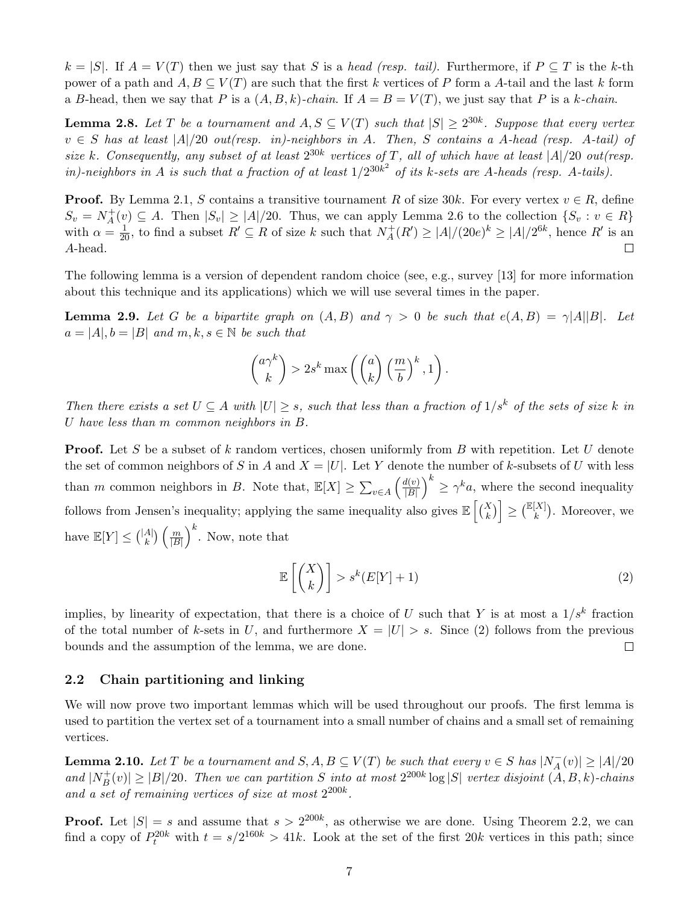$k = |S|$ . If  $A = V(T)$  then we just say that S is a head (resp. tail). Furthermore, if  $P \subseteq T$  is the k-th power of a path and  $A, B \subseteq V(T)$  are such that the first k vertices of P form a A-tail and the last k form a B-head, then we say that P is a  $(A, B, k)$ -chain. If  $A = B = V(T)$ , we just say that P is a k-chain.

<span id="page-6-0"></span>**Lemma 2.8.** Let T be a tournament and  $A, S \subseteq V(T)$  such that  $|S| \ge 2^{30k}$ . Suppose that every vertex  $v \in S$  has at least  $|A|/20$  out(resp. in)-neighbors in A. Then, S contains a A-head (resp. A-tail) of size k. Consequently, any subset of at least  $2^{30k}$  vertices of T, all of which have at least  $|A|/20$  out(resp. in)-neighbors in A is such that a fraction of at least  $1/2^{30k^2}$  of its k-sets are A-heads (resp. A-tails).

**Proof.** By Lemma [2.1,](#page-4-1) S contains a transitive tournament R of size 30k. For every vertex  $v \in R$ , define  $S_v = N_A^+$  $A_{\{A}}^{+}(v) \subseteq A$ . Then  $|S_{v}| \geq |A|/20$ . Thus, we can apply Lemma [2.6](#page-5-1) to the collection  $\{S_{v}: v \in R\}$ with  $\alpha = \frac{1}{20}$ , to find a subset  $R' \subseteq R$  of size k such that  $N_A^+$  $A_A^+(R') \ge |A|/(20e)^k \ge |A|/2^{6k}$ , hence R' is an A-head.  $\Box$ 

The following lemma is a version of dependent random choice (see, e.g., survey [\[13\]](#page-25-18) for more information about this technique and its applications) which we will use several times in the paper.

<span id="page-6-2"></span>**Lemma 2.9.** Let G be a bipartite graph on  $(A, B)$  and  $\gamma > 0$  be such that  $e(A, B) = \gamma |A||B|$ . Let  $a = |A|, b = |B|$  and  $m, k, s \in \mathbb{N}$  be such that

$$
\binom{a\gamma^k}{k} > 2s^k \max\left(\binom{a}{k} \left(\frac{m}{b}\right)^k, 1\right).
$$

Then there exists a set  $U \subseteq A$  with  $|U| \geq s$ , such that less than a fraction of  $1/s^k$  of the sets of size k in U have less than m common neighbors in B.

**Proof.** Let S be a subset of k random vertices, chosen uniformly from B with repetition. Let U denote the set of common neighbors of S in A and  $X = |U|$ . Let Y denote the number of k-subsets of U with less than m common neighbors in B. Note that,  $\mathbb{E}[X] \ge \sum_{v \in A} \left( \frac{d(v)}{|B|} \right)$  $\left(\frac{d(v)}{|B|}\right)^k \geq \gamma^k a$ , where the second inequality follows from Jensen's inequality; applying the same inequality also gives  $\mathbb{E}\left[\binom{X}{k}\right] \geq \binom{\mathbb{E}[X]}{k}$ . Moreover, we have  $\mathbb{E}[Y] \leq {|\mathcal{A}| \choose k}$  ${A|\choose k}\left(\frac{m}{|B|}\right)$  $\left(\frac{m}{|B|}\right)^k$ . Now, note that

<span id="page-6-1"></span>
$$
\mathbb{E}\left[\binom{X}{k}\right] > s^k(E[Y]+1) \tag{2}
$$

implies, by linearity of expectation, that there is a choice of U such that Y is at most a  $1/s<sup>k</sup>$  fraction of the total number of k-sets in U, and furthermore  $X = |U| > s$ . Since [\(2\)](#page-6-1) follows from the previous bounds and the assumption of the lemma, we are done.  $\Box$ 

## 2.2 Chain partitioning and linking

We will now prove two important lemmas which will be used throughout our proofs. The first lemma is used to partition the vertex set of a tournament into a small number of chains and a small set of remaining vertices.

<span id="page-6-3"></span>**Lemma 2.10.** Let T be a tournament and  $S, A, B \subseteq V(T)$  be such that every  $v \in S$  has  $|N_A^-|$  $|A(x)| \geq |A|/20$ and  $|N_B^+|$  $|B^+(v)| \ge |B|/20$ . Then we can partition S into at most  $2^{200k} \log |S|$  vertex disjoint  $(A, B, k)$ -chains and a set of remaining vertices of size at most  $2^{200k}$ .

**Proof.** Let  $|S| = s$  and assume that  $s > 2^{200k}$ , as otherwise we are done. Using Theorem [2.2,](#page-4-2) we can find a copy of  $P_t^{20k}$  with  $t = s/2^{160k} > 41k$ . Look at the set of the first  $20k$  vertices in this path; since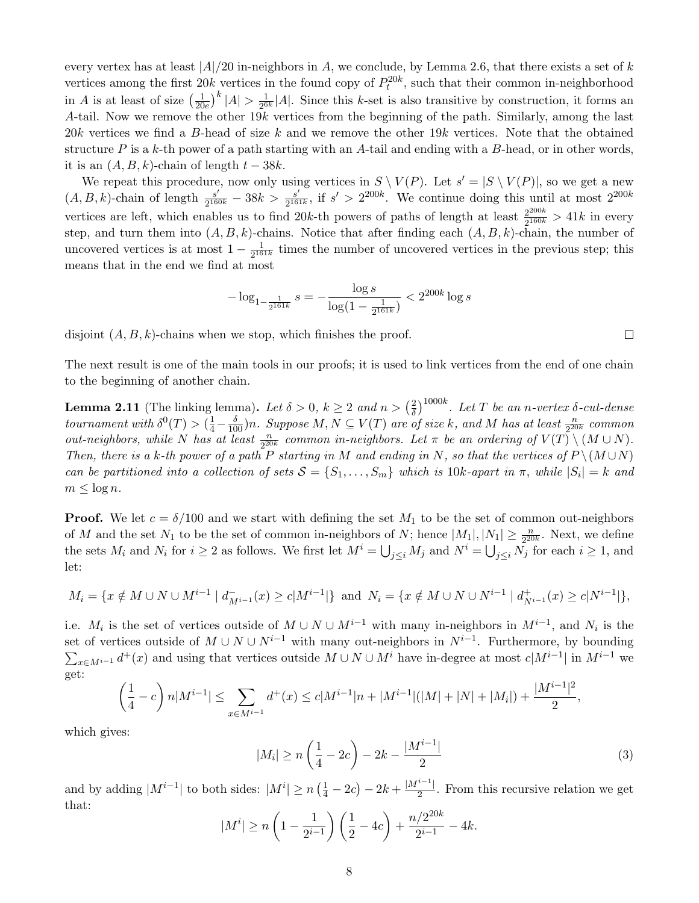every vertex has at least  $|A|/20$  in-neighbors in A, we conclude, by Lemma [2.6,](#page-5-1) that there exists a set of k vertices among the first  $20k$  vertices in the found copy of  $P_t^{20k}$ , such that their common in-neighborhood in A is at least of size  $\left(\frac{1}{20}\right)$  $\frac{1}{20e}\big)^k |A| > \frac{1}{2^6}$  $\frac{1}{2^{6k}}|A|$ . Since this k-set is also transitive by construction, it forms an A-tail. Now we remove the other 19k vertices from the beginning of the path. Similarly, among the last 20k vertices we find a B-head of size k and we remove the other 19k vertices. Note that the obtained structure P is a k-th power of a path starting with an A-tail and ending with a B-head, or in other words, it is an  $(A, B, k)$ -chain of length  $t - 38k$ .

We repeat this procedure, now only using vertices in  $S \setminus V(P)$ . Let  $s' = |S \setminus V(P)|$ , so we get a new  $(A, B, k)$ -chain of length  $\frac{s'}{2160}$  $\frac{s'}{2^{160k}}-38k > \frac{s'}{2^{16k}}$  $\frac{s'}{2^{161k}}$ , if  $s' > 2^{200k}$ . We continue doing this until at most  $2^{200k}$ vertices are left, which enables us to find 20k-th powers of paths of length at least  $\frac{2^{200k}}{2160k}$  $\frac{2^{200k}}{2^{160k}} > 41k$  in every step, and turn them into  $(A, B, k)$ -chains. Notice that after finding each  $(A, B, k)$ -chain, the number of uncovered vertices is at most  $1 - \frac{1}{216}$  $\frac{1}{2^{161k}}$  times the number of uncovered vertices in the previous step; this means that in the end we find at most

$$
-\log_{1-\frac{1}{2^{161k}}} s = -\frac{\log s}{\log(1 - \frac{1}{2^{161k}})} < 2^{200k} \log s
$$

disjoint  $(A, B, k)$ -chains when we stop, which finishes the proof.

The next result is one of the main tools in our proofs; it is used to link vertices from the end of one chain to the beginning of another chain.

<span id="page-7-0"></span>**Lemma 2.11** (The linking lemma). Let  $\delta > 0$ ,  $k \ge 2$  and  $n > \left(\frac{2}{\delta}\right)$  $\frac{2}{\delta})^{1000k}$ . Let T be an n-vertex  $\delta$ -cut-dense tournament with  $\delta^0(T) > (\frac{1}{4} - \frac{\delta}{100})n$ . Suppose  $M, N \subseteq V(T)$  are of size k, and M has at least  $\frac{n}{2^{20k}}$  common out-neighbors, while N has at least  $\frac{n}{2^{20k}}$  common in-neighbors. Let  $\pi$  be an ordering of  $V(T) \setminus (M \cup N)$ . Then, there is a k-th power of a path P starting in M and ending in N, so that the vertices of  $P \setminus (M \cup N)$ can be partitioned into a collection of sets  $S = \{S_1, \ldots, S_m\}$  which is 10k-apart in  $\pi$ , while  $|S_i| = k$  and  $m \leq \log n$ .

**Proof.** We let  $c = \delta/100$  and we start with defining the set  $M_1$  to be the set of common out-neighbors of M and the set  $N_1$  to be the set of common in-neighbors of N; hence  $|M_1|, |N_1| \geq \frac{n}{2^{20k}}$ . Next, we define the sets  $M_i$  and  $N_i$  for  $i \geq 2$  as follows. We first let  $M^i = \bigcup_{j \leq i} M_j$  and  $N^i = \bigcup_{j \leq i} N_j$  for each  $i \geq 1$ , and let:

$$
M_i = \{ x \notin M \cup N \cup M^{i-1} \mid d_{M^{i-1}}^-(x) \ge c |M^{i-1}| \} \text{ and } N_i = \{ x \notin M \cup N \cup N^{i-1} \mid d_{N^{i-1}}^+(x) \ge c |N^{i-1}| \},
$$

i.e.  $M_i$  is the set of vertices outside of  $M \cup N \cup M^{i-1}$  with many in-neighbors in  $M^{i-1}$ , and  $N_i$  is the set of vertices outside of  $M \cup N \cup N^{i-1}$  with many out-neighbors in  $N^{i-1}$ . Furthermore, by bounding  $\sum_{x\in M^{i-1}} d^+(x)$  and using that vertices outside  $M\cup N\cup M^i$  have in-degree at most  $c|M^{i-1}|$  in  $M^{i-1}$  we get:

$$
\left(\frac{1}{4}-c\right)n|M^{i-1}| \leq \sum_{x \in M^{i-1}} d^+(x) \leq c|M^{i-1}|n+|M^{i-1}|(|M|+|N|+|M_i|) + \frac{|M^{i-1}|^2}{2},
$$

which gives:

<span id="page-7-1"></span>
$$
|M_i| \ge n\left(\frac{1}{4} - 2c\right) - 2k - \frac{|M^{i-1}|}{2} \tag{3}
$$

and by adding  $|M^{i-1}|$  to both sides:  $|M^i| \ge n\left(\frac{1}{4} - 2c\right) - 2k + \frac{|M^{i-1}|}{2}$  $\frac{1}{2}$ . From this recursive relation we get that:

$$
|M^{i}| \ge n\left(1 - \frac{1}{2^{i-1}}\right)\left(\frac{1}{2} - 4c\right) + \frac{n/2^{20k}}{2^{i-1}} - 4k.
$$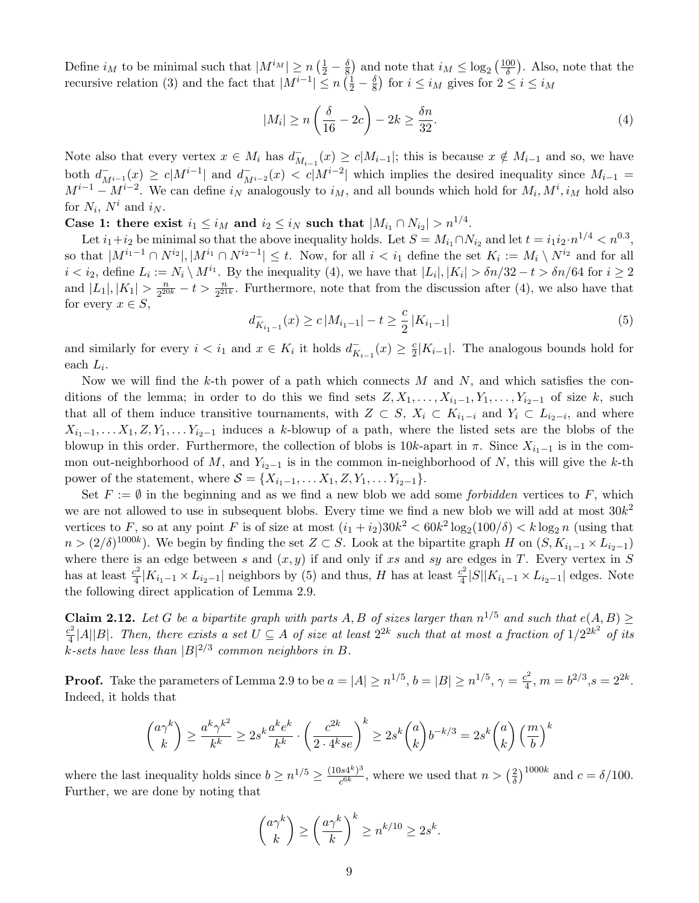Define  $i_M$  to be minimal such that  $|M^{i_M}| \ge n \left(\frac{1}{2} - \frac{\delta}{8}\right)$  $\frac{\delta}{8}$  and note that  $i_M \leq \log_2 \left(\frac{100}{\delta}\right)$  $\frac{00}{\delta}$ ). Also, note that the recursive relation [\(3\)](#page-7-1) and the fact that  $|M^{i-1}| \le n \left(\frac{1}{2} - \frac{\delta}{8}\right)$  $\frac{\delta}{8}$ ) for  $i \leq i_M$  gives for  $2 \leq i \leq i_M$ 

<span id="page-8-0"></span>
$$
|M_i| \ge n\left(\frac{\delta}{16} - 2c\right) - 2k \ge \frac{\delta n}{32}.\tag{4}
$$

Note also that every vertex  $x \in M_i$  has  $d_M^ \overline{M}_{i-1}(x) \geq c|M_{i-1}|$ ; this is because  $x \notin M_{i-1}$  and so, we have both  $d_{M^{i-1}}^-(x) \ge c|M^{i-1}|$  and  $d_{M^{i-2}}^-(x) < c|M^{i-2}|$  which implies the desired inequality since  $M_{i-1}$  $M^{i-1} - M^{i-2}$ . We can define  $i_N$  analogously to  $i_M$ , and all bounds which hold for  $M_i, M^i, i_M$  hold also for  $N_i$ ,  $N^i$  and  $i_N$ .

Case 1: there exist  $i_1 \leq i_M$  and  $i_2 \leq i_N$  such that  $|M_{i_1} \cap N_{i_2}| > n^{1/4}$ .

Let  $i_1+i_2$  be minimal so that the above inequality holds. Let  $S = M_{i_1} \cap N_{i_2}$  and let  $t = i_1 i_2 \cdot n^{1/4} < n^{0.3}$ , so that  $|M^{i_1-1} \cap N^{i_2}|, |M^{i_1} \cap N^{i_2-1}| \leq t$ . Now, for all  $i < i_1$  define the set  $K_i := M_i \setminus N^{i_2}$  and for all  $i < i_2$ , define  $L_i := N_i \setminus M^{i_1}$ . By the inequality [\(4\)](#page-8-0), we have that  $|L_i|, |K_i| > \delta n/32 - t > \delta n/64$  for  $i \ge 2$ and  $|L_1|, |K_1| > \frac{n}{2^{20}}$  $\frac{n}{2^{20k}} - t > \frac{n}{2^{21k}}$ . Furthermore, note that from the discussion after [\(4\)](#page-8-0), we also have that for every  $x \in S$ ,

<span id="page-8-1"></span>
$$
d_{K_{i_1-1}}^-(x) \ge c \left| M_{i_1-1} \right| - t \ge \frac{c}{2} \left| K_{i_1-1} \right| \tag{5}
$$

and similarly for every  $i < i_1$  and  $x \in K_i$  it holds  $d_K^ K_{i-1}(x) \geq \frac{c}{2}$  $\frac{c}{2}|K_{i-1}|$ . The analogous bounds hold for each  $L_i$ .

Now we will find the k-th power of a path which connects  $M$  and  $N$ , and which satisfies the conditions of the lemma; in order to do this we find sets  $Z, X_1, \ldots, X_{i_1-1}, Y_1, \ldots, Y_{i_2-1}$  of size k, such that all of them induce transitive tournaments, with  $Z \subset S$ ,  $X_i \subset K_{i_1-i}$  and  $Y_i \subset L_{i_2-i}$ , and where  $X_{i_1-1}, \ldots, X_1, Z, Y_1, \ldots, Y_{i_2-1}$  induces a k-blowup of a path, where the listed sets are the blobs of the blowup in this order. Furthermore, the collection of blobs is  $10k$ -apart in  $\pi$ . Since  $X_{i-1}$  is in the common out-neighborhood of M, and  $Y_{i_2-1}$  is in the common in-neighborhood of N, this will give the k-th power of the statement, where  $S = \{X_{i_1-1}, \ldots X_1, Z, Y_1, \ldots Y_{i_2-1}\}.$ 

Set  $F := \emptyset$  in the beginning and as we find a new blob we add some *forbidden* vertices to F, which we are not allowed to use in subsequent blobs. Every time we find a new blob we will add at most  $30k^2$ vertices to F, so at any point F is of size at most  $(i_1 + i_2)30k^2 < 60k^2 \log_2(100/\delta) < k \log_2 n$  (using that  $n > (2/\delta)^{1000k}$ ). We begin by finding the set  $Z \subset S$ . Look at the bipartite graph H on  $(S, K_{i_1-1} \times L_{i_2-1})$ where there is an edge between s and  $(x, y)$  if and only if xs and sy are edges in T. Every vertex in S has at least  $\frac{c^2}{4}$  $\frac{c^2}{4}|K_{i_1-1} \times L_{i_2-1}|$  neighbors by [\(5\)](#page-8-1) and thus, H has at least  $\frac{c^2}{4}$  $\frac{2^2}{4}|S||K_{i_1-1} \times L_{i_2-1}|$  edges. Note the following direct application of Lemma [2.9.](#page-6-2)

<span id="page-8-2"></span>**Claim 2.12.** Let G be a bipartite graph with parts A, B of sizes larger than  $n^{1/5}$  and such that  $e(A, B) \ge$  $c^2$  $\frac{e^2}{4}$ |A||B|. Then, there exists a set  $U \subseteq A$  of size at least  $2^{2k}$  such that at most a fraction of  $1/2^{2k^2}$  of its k-sets have less than  $|B|^{2/3}$  common neighbors in B.

**Proof.** Take the parameters of Lemma [2.9](#page-6-2) to be  $a = |A| \geq n^{1/5}$ ,  $b = |B| \geq n^{1/5}$ ,  $\gamma = \frac{c^2}{4}$  $\frac{b^2}{4}$ ,  $m = b^{2/3}, s = 2^{2k}.$ Indeed, it holds that

$$
\binom{a\gamma^k}{k} \ge \frac{a^k\gamma^{k^2}}{k^k} \ge 2s^k\frac{a^ke^k}{k^k} \cdot \left(\frac{c^{2k}}{2\cdot 4^k s e}\right)^k \ge 2s^k\binom{a}{k}b^{-k/3} = 2s^k\binom{a}{k}\left(\frac{m}{b}\right)^k
$$

where the last inequality holds since  $b \geq n^{1/5} \geq \frac{(10s4^k)^3}{6k}$  $\frac{\log k^{(8)}\delta}{c^{6k}}$ , where we used that  $n > \left(\frac{2}{\delta}\right)$  $\frac{2}{\delta}$ )<sup>1000k</sup> and  $c = \delta/100$ . Further, we are done by noting that

$$
\binom{a\gamma^k}{k} \ge \left(\frac{a\gamma^k}{k}\right)^k \ge n^{k/10} \ge 2s^k.
$$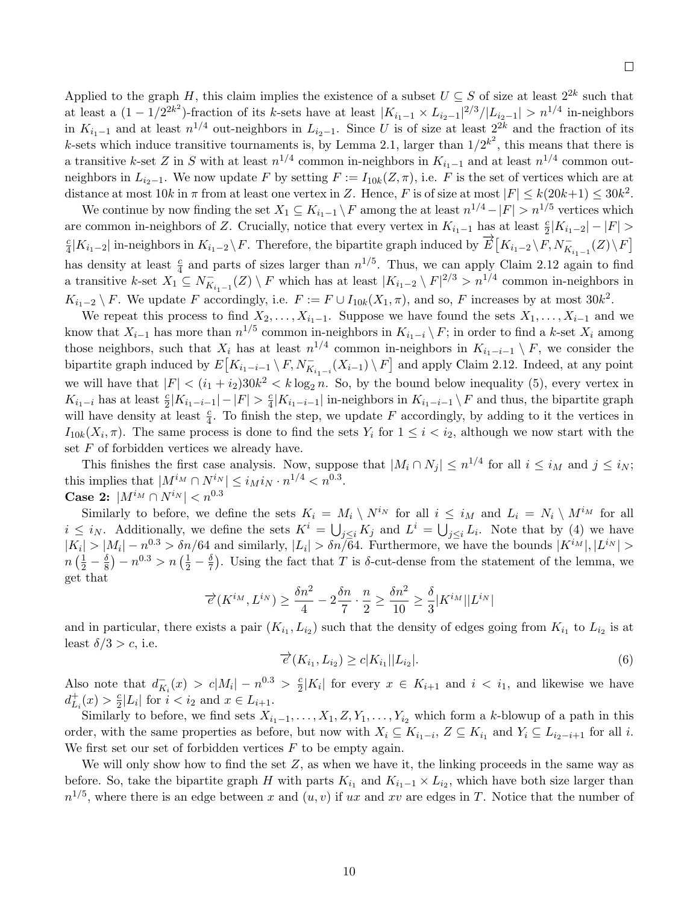Applied to the graph H, this claim implies the existence of a subset  $U \subseteq S$  of size at least  $2^{2k}$  such that at least a  $(1 - 1/2^{2k^2})$ -fraction of its k-sets have at least  $|K_{i_1-1} \times L_{i_2-1}|^2/3/|L_{i_2-1}| > n^{1/4}$  in-neighbors in  $K_{i_1-1}$  and at least  $n^{1/4}$  out-neighbors in  $L_{i_2-1}$ . Since U is of size at least  $2^{2k}$  and the fraction of its k-sets which induce transitive tournaments is, by Lemma [2.1,](#page-4-1) larger than  $1/2^{k^2}$ , this means that there is a transitive k-set Z in S with at least  $n^{1/4}$  common in-neighbors in  $K_{i_1-1}$  and at least  $n^{1/4}$  common outneighbors in  $L_{i_2-1}$ . We now update F by setting  $F := I_{10k}(Z, \pi)$ , i.e. F is the set of vertices which are at distance at most  $10k$  in  $\pi$  from at least one vertex in Z. Hence, F is of size at most  $|F| \le k(20k+1) \le 30k^2$ .

We continue by now finding the set  $X_1 \subseteq K_{i_1-1} \setminus F$  among the at least  $n^{1/4} - |F| > n^{1/5}$  vertices which are common in-neighbors of Z. Crucially, notice that every vertex in  $K_{i_1-1}$  has at least  $\frac{c}{2}|K_{i_1-2}|-|F|>$ c  $\frac{d}{dt} |K_{i_1-2}|$  in-neighbors in  $K_{i_1-2} \setminus F$ . Therefore, the bipartite graph induced by  $\overrightarrow{E} [K_{i_1-2} \setminus F, N^-_{K_{i_1-1}}(Z) \setminus F]$ has density at least  $\frac{c}{4}$  and parts of sizes larger than  $n^{1/5}$ . Thus, we can apply Claim [2.12](#page-8-2) again to find a transitive k-set  $X_1 \subseteq N_K^ K_{K_{i_1-1}}(Z) \setminus F$  which has at least  $|K_{i_1-2} \setminus F|^{2/3} > n^{1/4}$  common in-neighbors in  $K_{i_1-2} \setminus F$ . We update F accordingly, i.e.  $F := F \cup I_{10k}(X_1, \pi)$ , and so, F increases by at most  $30k^2$ .

We repeat this process to find  $X_2, \ldots, X_{i_1-1}$ . Suppose we have found the sets  $X_1, \ldots, X_{i-1}$  and we know that  $X_{i-1}$  has more than  $n^{1/5}$  common in-neighbors in  $K_{i_1-i} \setminus F$ ; in order to find a k-set  $X_i$  among those neighbors, such that  $X_i$  has at least  $n^{1/4}$  common in-neighbors in  $K_{i_1-i-1} \setminus F$ , we consider the bipartite graph induced by  $E[K_{i_1-i-1} \setminus F, N_{K_{i_1-i}}^-(X_{i-1}) \setminus F]$  and apply Claim [2.12.](#page-8-2) Indeed, at any point we will have that  $|F| < (i_1 + i_2)30k^2 < k \log_2 n$ . So, by the bound below inequality [\(5\)](#page-8-1), every vertex in  $K_{i_1-i}$  has at least  $\frac{c}{2}|K_{i_1-i-1}| - |F| > \frac{c}{4}$  $\frac{c}{4}|K_{i_1-i-1}|$  in-neighbors in  $K_{i_1-i-1} \setminus F$  and thus, the bipartite graph will have density at least  $\frac{c}{4}$ . To finish the step, we update F accordingly, by adding to it the vertices in  $I_{10k}(X_i, \pi)$ . The same process is done to find the sets  $Y_i$  for  $1 \leq i \leq i_2$ , although we now start with the set  $F$  of forbidden vertices we already have.

This finishes the first case analysis. Now, suppose that  $|M_i \cap N_j| \leq n^{1/4}$  for all  $i \leq i_M$  and  $j \leq i_N$ ; this implies that  $|M^{i_M} \cap N^{i_N}| \leq i_M i_N \cdot n^{1/4} < n^{0.3}$ . Case 2:  $|M^{i_M} \cap N^{i_N}| < n^{0.3}$ 

Similarly to before, we define the sets  $K_i = M_i \setminus N^{i_N}$  for all  $i \leq i_M$  and  $L_i = N_i \setminus M^{i_M}$  for all  $i \leq i_N$ . Additionally, we define the sets  $K^i = \bigcup_{j \leq i} K_j$  and  $L^i = \bigcup_{j \leq i} L_i$ . Note that by [\(4\)](#page-8-0) we have  $|K_i| > |M_i| - n^{0.3} > \delta n/64$  and similarly,  $|L_i| > \delta n/\overline{64}$ . Furthermore, we have the bounds  $|K^{i_M}|, |L^{i_N}| >$  $n\left(\frac{1}{2}-\frac{\delta}{8}\right)$  $\left(\frac{\delta}{8}\right) - n^{0.3} > n \left(\frac{1}{2} - \frac{\delta}{7}\right)$  $\frac{\delta}{7}$ ). Using the fact that T is  $\delta$ -cut-dense from the statement of the lemma, we get that

$$
\overrightarrow{e}(K^{i_M}, L^{i_N}) \ge \frac{\delta n^2}{4} - 2\frac{\delta n}{7} \cdot \frac{n}{2} \ge \frac{\delta n^2}{10} \ge \frac{\delta}{3}|K^{i_M}||L^{i_N}|
$$

and in particular, there exists a pair  $(K_{i_1}, L_{i_2})$  such that the density of edges going from  $K_{i_1}$  to  $L_{i_2}$  is at least  $\delta/3 > c$ , i.e.

<span id="page-9-0"></span>
$$
\overrightarrow{e}(K_{i_1}, L_{i_2}) \ge c|K_{i_1}||L_{i_2}|.
$$
\n(6)

Also note that  $d_K^ K_i(x) > c|M_i| - n^{0.3} > \frac{c}{2}$  $\frac{c}{2}|K_i|$  for every  $x \in K_{i+1}$  and  $i < i_1$ , and likewise we have  $d_L^+$  $_{L_i}^+(x) > \frac{c}{2}$  $\frac{c}{2}|L_i|$  for  $i < i_2$  and  $x \in L_{i+1}$ .

Similarly to before, we find sets  $X_{i_1-1}, \ldots, X_1, Z, Y_1, \ldots, Y_{i_2}$  which form a k-blowup of a path in this order, with the same properties as before, but now with  $X_i \subseteq K_{i_1-i}$ ,  $Z \subseteq K_{i_1}$  and  $Y_i \subseteq L_{i_2-i+1}$  for all i. We first set our set of forbidden vertices  $F$  to be empty again.

We will only show how to find the set  $Z$ , as when we have it, the linking proceeds in the same way as before. So, take the bipartite graph H with parts  $K_{i_1}$  and  $K_{i_1-1} \times L_{i_2}$ , which have both size larger than  $n^{1/5}$ , where there is an edge between x and  $(u, v)$  if ux and xv are edges in T. Notice that the number of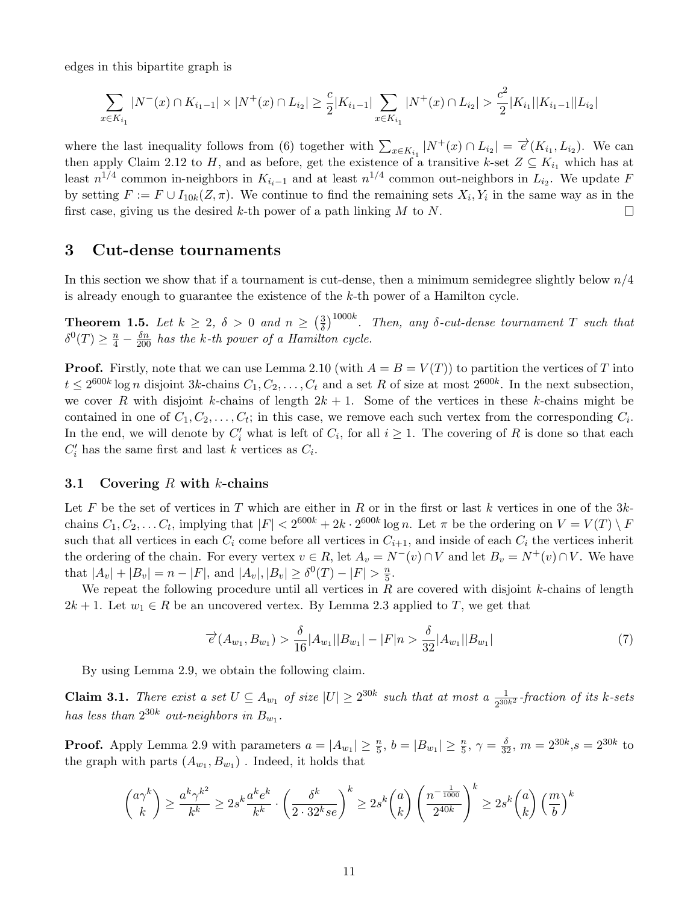edges in this bipartite graph is

$$
\sum_{x \in K_{i_1}} |N^-(x) \cap K_{i_1-1}| \times |N^+(x) \cap L_{i_2}| \ge \frac{c}{2} |K_{i_1-1}| \sum_{x \in K_{i_1}} |N^+(x) \cap L_{i_2}| > \frac{c^2}{2} |K_{i_1}| |K_{i_1-1}| |L_{i_2}|
$$

|

where the last inequality follows from [\(6\)](#page-9-0) together with  $\sum_{x \in K_{i_1}} |N^+(x) \cap L_{i_2}| = \overrightarrow{e}(K_{i_1}, L_{i_2})$ . We can then apply Claim [2.12](#page-8-2) to H, and as before, get the existence of a transitive k-set  $Z \subseteq K_{i_1}$  which has at least  $n^{1/4}$  common in-neighbors in  $K_{i,i-1}$  and at least  $n^{1/4}$  common out-neighbors in  $L_{i2}$ . We update F by setting  $F := F \cup I_{10k}(Z, \pi)$ . We continue to find the remaining sets  $X_i, Y_i$  in the same way as in the first case, giving us the desired k-th power of a path linking  $M$  to  $N$ .  $\Box$ 

## <span id="page-10-0"></span>3 Cut-dense tournaments

In this section we show that if a tournament is cut-dense, then a minimum semidegree slightly below  $n/4$ is already enough to guarantee the existence of the k-th power of a Hamilton cycle.

**Theorem 1.5.** Let  $k \geq 2$ ,  $\delta > 0$  and  $n \geq \left(\frac{3}{8}\right)$  $\frac{3}{\delta})^{1000k}$ . Then, any  $\delta$ -cut-dense tournament T such that  $\delta^0(T) \geq \frac{n}{4} - \frac{\delta n}{200}$  has the k-th power of a Hamilton cycle.

**Proof.** Firstly, note that we can use Lemma [2.10](#page-6-3) (with  $A = B = V(T)$ ) to partition the vertices of T into  $t \leq 2^{600k} \log n$  disjoint 3k-chains  $C_1, C_2, \ldots, C_t$  and a set R of size at most  $2^{600k}$ . In the next subsection, we cover R with disjoint k-chains of length  $2k + 1$ . Some of the vertices in these k-chains might be contained in one of  $C_1, C_2, \ldots, C_t$ ; in this case, we remove each such vertex from the corresponding  $C_i$ . In the end, we will denote by  $C_i'$  what is left of  $C_i$ , for all  $i \geq 1$ . The covering of R is done so that each  $C_i'$  has the same first and last k vertices as  $C_i$ .

## 3.1 Covering  $R$  with  $k$ -chains

Let F be the set of vertices in T which are either in R or in the first or last k vertices in one of the  $3k$ chains  $C_1, C_2, \ldots C_t$ , implying that  $|F| < 2^{600k} + 2k \cdot 2^{600k} \log n$ . Let  $\pi$  be the ordering on  $V = V(T) \setminus F$ such that all vertices in each  $C_i$  come before all vertices in  $C_{i+1}$ , and inside of each  $C_i$  the vertices inherit the ordering of the chain. For every vertex  $v \in R$ , let  $A_v = N^-(v) \cap V$  and let  $B_v = N^+(v) \cap V$ . We have that  $|A_v| + |B_v| = n - |F|$ , and  $|A_v|, |B_v| \ge \delta^0(T) - |F| > \frac{n}{5}$  $\frac{n}{5}$ .

We repeat the following procedure until all vertices in  $R$  are covered with disjoint  $k$ -chains of length  $2k + 1$ . Let  $w_1 \in R$  be an uncovered vertex. By Lemma [2.3](#page-4-3) applied to T, we get that

<span id="page-10-1"></span>
$$
\overrightarrow{e}(A_{w_1}, B_{w_1}) > \frac{\delta}{16}|A_{w_1}||B_{w_1}| - |F|n > \frac{\delta}{32}|A_{w_1}||B_{w_1}| \tag{7}
$$

By using Lemma [2.9,](#page-6-2) we obtain the following claim.

**Claim 3.1.** There exist a set  $U \subseteq A_{w_1}$  of size  $|U| \geq 2^{30k}$  such that at most a  $\frac{1}{2^{30k^2}}$ -fraction of its k-sets has less than  $2^{30k}$  out-neighbors in  $B_{w_1}$ .

**Proof.** Apply Lemma [2.9](#page-6-2) with parameters  $a = |A_{w_1}| \ge \frac{n}{5}$ ,  $b = |B_{w_1}| \ge \frac{n}{5}$ ,  $\gamma = \frac{\delta}{32}$ ,  $m = 2^{30k}$ ,  $s = 2^{30k}$  to the graph with parts  $(A_{w_1}, B_{w_1})$ . Indeed, it holds that

$$
\binom{a\gamma^k}{k} \ge \frac{a^k\gamma^{k^2}}{k^k} \ge 2s^k\frac{a^k e^k}{k^k} \cdot \left(\frac{\delta^k}{2 \cdot 32^k s e}\right)^k \ge 2s^k \binom{a}{k} \left(\frac{n^{-\frac{1}{1000}}}{2^{40k}}\right)^k \ge 2s^k \binom{a}{k} \left(\frac{m}{b}\right)^k
$$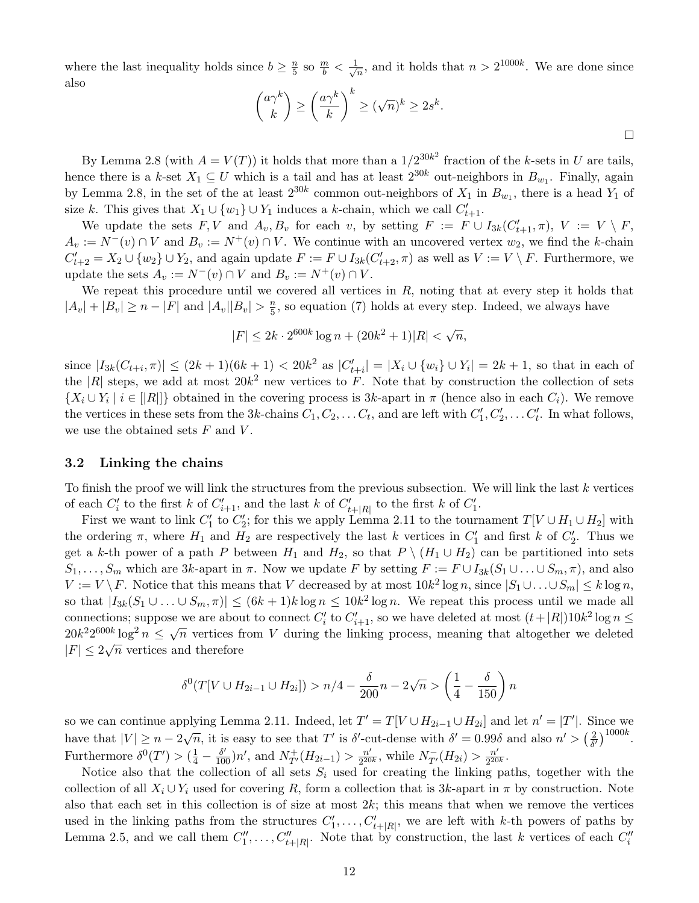where the last inequality holds since  $b \geq \frac{n}{5}$  $\frac{n}{5}$  so  $\frac{m}{b} < \frac{1}{\sqrt{3}}$  $\frac{1}{n}$ , and it holds that  $n > 2^{1000k}$ . We are done since also

$$
\binom{a\gamma^k}{k} \ge \left(\frac{a\gamma^k}{k}\right)^k \ge (\sqrt{n})^k \ge 2s^k.
$$

 $\Box$ 

By Lemma [2.8](#page-6-0) (with  $A = V(T)$ ) it holds that more than a  $1/2^{30k^2}$  fraction of the k-sets in U are tails, hence there is a k-set  $X_1 \subseteq U$  which is a tail and has at least  $2^{30k}$  out-neighbors in  $B_{w_1}$ . Finally, again by Lemma [2.8,](#page-6-0) in the set of the at least  $2^{30k}$  common out-neighbors of  $X_1$  in  $B_{w_1}$ , there is a head  $Y_1$  of size k. This gives that  $X_1 \cup \{w_1\} \cup Y_1$  induces a k-chain, which we call  $C'_{t+1}$ .

We update the sets  $F, V$  and  $A_v, B_v$  for each v, by setting  $F := F \cup I_{3k}(C'_{t+1}, \pi), V := V \setminus F$ ,  $A_v := N^-(v) \cap V$  and  $B_v := N^+(v) \cap V$ . We continue with an uncovered vertex  $w_2$ , we find the k-chain  $C'_{t+2} = X_2 \cup \{w_2\} \cup Y_2$ , and again update  $F := F \cup I_{3k}(C'_{t+2}, \pi)$  as well as  $V := V \setminus F$ . Furthermore, we update the sets  $A_v := N^-(v) \cap V$  and  $B_v := N^+(v) \cap V$ .

We repeat this procedure until we covered all vertices in  $R$ , noting that at every step it holds that  $|A_v| + |B_v| \ge n - |F|$  and  $|A_v||B_v| > \frac{n}{5}$  $\frac{n}{5}$ , so equation [\(7\)](#page-10-1) holds at every step. Indeed, we always have

> $|F| \leq 2k \cdot 2^{600k} \log n + (20k^2 + 1)|R| < \sqrt{\frac{20k^2 + 1}{n}}$  $\overline{n},$

since  $|I_{3k}(C_{t+i}, \pi)| \leq (2k+1)(6k+1) < 20k^2$  as  $|C'_{t+i}| = |X_i \cup \{w_i\} \cup Y_i| = 2k+1$ , so that in each of the |R| steps, we add at most  $20k^2$  new vertices to F. Note that by construction the collection of sets  $\{X_i \cup Y_i \mid i \in [|R|]\}$  obtained in the covering process is 3k-apart in  $\pi$  (hence also in each  $C_i$ ). We remove the vertices in these sets from the 3k-chains  $C_1, C_2, \ldots C_t$ , and are left with  $C'_1, C'_2, \ldots C'_t$ . In what follows, we use the obtained sets  $F$  and  $V$ .

## <span id="page-11-0"></span>3.2 Linking the chains

To finish the proof we will link the structures from the previous subsection. We will link the last  $k$  vertices of each  $C_i'$  to the first k of  $C_{i+1}'$ , and the last k of  $C_{t+|R|}'$  to the first k of  $C_1'$ .

First we want to link  $C'_1$  to  $C'_2$ ; for this we apply Lemma [2.11](#page-7-0) to the tournament  $T[V \cup H_1 \cup H_2]$  with the ordering  $\pi$ , where  $H_1$  and  $H_2$  are respectively the last k vertices in  $C'_1$  and first k of  $C'_2$ . Thus we get a k-th power of a path P between  $H_1$  and  $H_2$ , so that  $P \setminus (H_1 \cup H_2)$  can be partitioned into sets  $S_1, \ldots, S_m$  which are 3k-apart in  $\pi$ . Now we update F by setting  $F := F \cup I_{3k}(S_1 \cup \ldots \cup S_m, \pi)$ , and also  $V := V \setminus F$ . Notice that this means that V decreased by at most  $10k^2 \log n$ , since  $|S_1 \cup ... \cup S_m| \le k \log n$ , so that  $|I_{3k}(S_1 \cup ... \cup S_m, \pi)| \le (6k+1)k \log n \le 10k^2 \log n$ . We repeat this process until we made all connections; suppose we are about to connect  $C_i'$  to  $C_{i+1}'$ , so we have deleted at most  $(t+|R|)10k^2\log n \leq$ connections, suppose we are about to connect  $C_i$  to  $C_{i+1}$ , so we have defected at most  $(\ell + |I|)$  for  $\log n \le 20k^2 2^{600k} \log^2 n \le \sqrt{n}$  vertices from V during the linking process, meaning that altogether we deleted  $|F| \leq 2\sqrt{n}$  vertices and therefore

$$
\delta^{0}(T[V \cup H_{2i-1} \cup H_{2i}]) > n/4 - \frac{\delta}{200}n - 2\sqrt{n} > \left(\frac{1}{4} - \frac{\delta}{150}\right)n
$$

so we can continue applying Lemma [2.11.](#page-7-0) Indeed, let  $T' = T[V \cup H_{2i-1} \cup H_{2i}]$  and let  $n' = |T'|$ . Since we have that  $|V| \ge n - 2\sqrt{n}$ , it is easy to see that T' is  $\delta'$ -cut-dense with  $\delta' = 0.99\delta$  and also  $n' > (\frac{2}{\delta})$  $\frac{2}{\delta'}$ <sup>1000k</sup>. Furthermore  $\delta^0(T') > (\frac{1}{4} - \frac{\delta'}{100})n'$ , and  $N_{T'}^+(H_{2i-1}) > \frac{n'}{2^{20}}$  $\frac{n'}{2^{20k}}$ , while  $N_{T'}^-(H_{2i}) > \frac{n'}{2^{20}}$  $\frac{n'}{2^{20k}}.$ 

Notice also that the collection of all sets  $S_i$  used for creating the linking paths, together with the collection of all  $X_i \cup Y_i$  used for covering R, form a collection that is 3k-apart in  $\pi$  by construction. Note also that each set in this collection is of size at most  $2k$ ; this means that when we remove the vertices used in the linking paths from the structures  $C'_1, \ldots, C'_{t+|R|}$ , we are left with k-th powers of paths by Lemma [2.5,](#page-5-2) and we call them  $C_1'', \ldots, C_{t+|R|}''$ . Note that by construction, the last k vertices of each  $C_i''$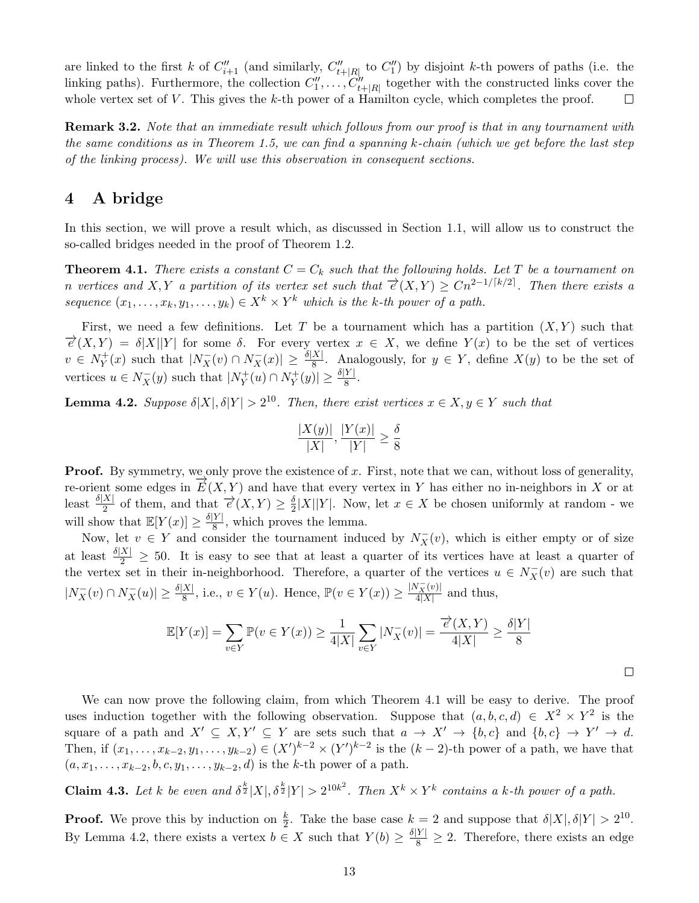are linked to the first k of  $C''_{i+1}$  (and similarly,  $C''_{i+|R|}$  to  $C''_1$ ) by disjoint k-th powers of paths (i.e. the linking paths). Furthermore, the collection  $C''_1, \ldots, C''_{t+|R|}$  together with the constructed links cover the whole vertex set of  $V$ . This gives the  $k$ -th power of a Hamilton cycle, which completes the proof.  $\Box$ 

<span id="page-12-4"></span>**Remark 3.2.** Note that an immediate result which follows from our proof is that in any tournament with the same conditions as in Theorem [1.5,](#page-2-0) we can find a spanning  $k$ -chain (which we get before the last step of the linking process). We will use this observation in consequent sections.

## <span id="page-12-0"></span>4 A bridge

In this section, we will prove a result which, as discussed in Section [1.1,](#page-2-2) will allow us to construct the so-called bridges needed in the proof of Theorem [1.2.](#page-1-1)

<span id="page-12-1"></span>**Theorem 4.1.** There exists a constant  $C = C_k$  such that the following holds. Let T be a tournament on n vertices and X, Y a partition of its vertex set such that  $\overrightarrow{e}(X,Y) \geq Cn^{2-1/[k/2]}$ . Then there exists a sequence  $(x_1, \ldots, x_k, y_1, \ldots, y_k) \in X^k \times Y^k$  which is the k-th power of a path.

First, we need a few definitions. Let T be a tournament which has a partition  $(X, Y)$  such that  $\vec{e}(X,Y) = \delta |X||Y|$  for some  $\delta$ . For every vertex  $x \in X$ , we define  $Y(x)$  to be the set of vertices  $v \in N_Y^+$  $Y(Y \leq Y)$  such that  $|N_X(v) \cap N_X(v)| \geq \frac{\delta |X|}{8}$ . Analogously, for  $y \in Y$ , define  $X(y)$  to be the set of vertices  $u \in N_X^-(y)$  such that  $|N_Y^+|$  $Y^+(u) \cap N_Y^+$  $|Y^+(y)| \ge \frac{\delta|Y|}{8}.$ 

<span id="page-12-2"></span>**Lemma 4.2.** Suppose  $\delta |X|, \delta |Y| > 2^{10}$ . Then, there exist vertices  $x \in X, y \in Y$  such that

$$
\frac{|X(y)|}{|X|}, \frac{|Y(x)|}{|Y|} \ge \frac{\delta}{8}
$$

**Proof.** By symmetry, we only prove the existence of x. First, note that we can, without loss of generality, re-orient some edges in  $\overline{E}(X, Y)$  and have that every vertex in Y has either no in-neighbors in X or at least  $\frac{\delta[X]}{2}$  of them, and that  $\overrightarrow{e}(X,Y) \geq \frac{\delta}{2}$  $\frac{\delta}{2}|X||Y|$ . Now, let  $x \in X$  be chosen uniformly at random - we will show that  $\mathbb{E}[Y(x)] \geq \frac{\delta|Y|}{8}$  $\frac{Y}{8}$ , which proves the lemma.

Now, let  $v \in Y$  and consider the tournament induced by  $N_X^-(v)$ , which is either empty or of size at least  $\frac{\delta |X|}{2} \geq 50$ . It is easy to see that at least a quarter of its vertices have at least a quarter of the vertex set in their in-neighborhood. Therefore, a quarter of the vertices  $u \in N_X^-(v)$  are such that  $|N_X^-(v) \cap N_X^-(u)| \ge \frac{\delta |X|}{8}$ , i.e.,  $v \in Y(u)$ . Hence,  $\mathbb{P}(v \in Y(x)) \ge \frac{|N_X^-(v)|}{4|X|}$  and thus,

$$
\mathbb{E}[Y(x)] = \sum_{v \in Y} \mathbb{P}(v \in Y(x)) \ge \frac{1}{4|X|} \sum_{v \in Y} |N_X^-(v)| = \frac{\overrightarrow{e}(X, Y)}{4|X|} \ge \frac{\delta|Y|}{8}
$$

We can now prove the following claim, from which Theorem [4.1](#page-12-1) will be easy to derive. The proof uses induction together with the following observation. Suppose that  $(a, b, c, d) \in X^2 \times Y^2$  is the square of a path and  $X' \subseteq X, Y' \subseteq Y$  are sets such that  $a \to X' \to \{b, c\}$  and  $\{b, c\} \to Y' \to d$ . Then, if  $(x_1, ..., x_{k-2}, y_1, ..., y_{k-2}) \in (X')^{k-2} \times (Y')^{k-2}$  is the  $(k-2)$ -th power of a path, we have that  $(a, x_1, \ldots, x_{k-2}, b, c, y_1, \ldots, y_{k-2}, d)$  is the k-th power of a path.

<span id="page-12-3"></span>**Claim 4.3.** Let k be even and  $\delta^{\frac{k}{2}}|X|, \delta^{\frac{k}{2}}|Y| > 2^{10k^2}$ . Then  $X^k \times Y^k$  contains a k-th power of a path.

**Proof.** We prove this by induction on  $\frac{k}{2}$ . Take the base case  $k = 2$  and suppose that  $\delta |X|, \delta |Y| > 2^{10}$ . By Lemma [4.2,](#page-12-2) there exists a vertex  $b \in X$  such that  $Y(b) \geq \frac{\delta|Y|}{8} \geq 2$ . Therefore, there exists an edge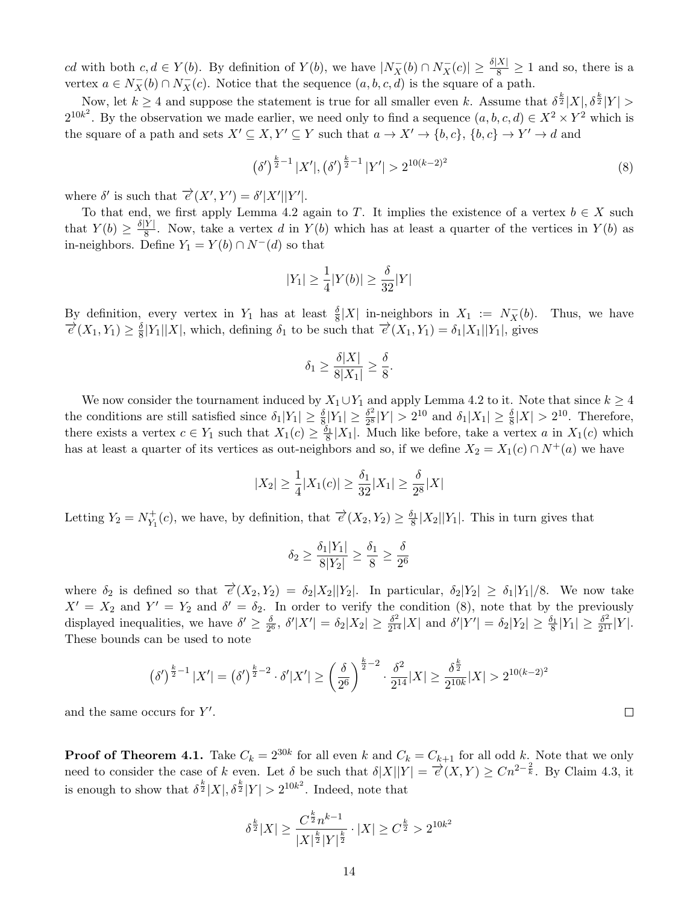cd with both  $c, d \in Y(b)$ . By definition of  $Y(b)$ , we have  $|N_X^{-}(b) \cap N_X^{-}(c)| \geq \frac{\delta |X|}{8} \geq 1$  and so, there is a vertex  $a \in N_X^-(b) \cap N_X^-(c)$ . Notice that the sequence  $(a, b, c, d)$  is the square of a path.

Now, let  $k \geq 4$  and suppose the statement is true for all smaller even k. Assume that  $\delta^{\frac{k}{2}}|X|, \delta^{\frac{k}{2}}|Y| >$  $2^{10k^2}$ . By the observation we made earlier, we need only to find a sequence  $(a, b, c, d) \in X^2 \times Y^2$  which is the square of a path and sets  $X' \subseteq X, Y' \subseteq Y$  such that  $a \to X' \to \{b, c\}, \{b, c\} \to Y' \to d$  and

<span id="page-13-0"></span>
$$
\left(\delta'\right)^{\frac{k}{2}-1}|X'|,\left(\delta'\right)^{\frac{k}{2}-1}|Y'|>2^{10(k-2)^2}
$$
\n(8)

where  $\delta'$  is such that  $\overrightarrow{e}(X', Y') = \delta' |X'||Y'|$ .

To that end, we first apply Lemma [4.2](#page-12-2) again to T. It implies the existence of a vertex  $b \in X$  such that  $Y(b) \geq \frac{\delta|Y|}{8}$  $\frac{Y}{8}$ . Now, take a vertex d in  $Y(b)$  which has at least a quarter of the vertices in  $Y(b)$  as in-neighbors. Define  $Y_1 = Y(b) \cap N^{-1}(d)$  so that

$$
|Y_1|\geq \frac{1}{4}|Y(b)|\geq \frac{\delta}{32}|Y|
$$

By definition, every vertex in  $Y_1$  has at least  $\frac{\delta}{8}|X|$  in-neighbors in  $X_1 := N_X^-$ Thus, we have  $\overrightarrow{e}(X_1,Y_1)\geq \frac{\delta}{8}$  $\frac{\delta}{8}|Y_1||X|$ , which, defining  $\delta_1$  to be such that  $\vec{e}(X_1, Y_1) = \delta_1 |X_1||Y_1|$ , gives

$$
\delta_1 \ge \frac{\delta |X|}{8|X_1|} \ge \frac{\delta}{8}.
$$

We now consider the tournament induced by  $X_1 \cup Y_1$  and apply Lemma [4.2](#page-12-2) to it. Note that since  $k \geq 4$ the conditions are still satisfied since  $\delta_1|Y_1| \ge \frac{\delta}{8}|Y_1| \ge \frac{\delta^2}{2^8}$  $\frac{\delta^2}{2^8}|Y| > 2^{10}$  and  $\delta_1|X_1| \ge \frac{\delta}{8}|X| > 2^{10}$ . Therefore, there exists a vertex  $c \in Y_1$  such that  $X_1(c) \ge \frac{\delta_1}{8}|X_1|$ . Much like before, take a vertex a in  $X_1(c)$  which has at least a quarter of its vertices as out-neighbors and so, if we define  $X_2 = X_1(c) \cap N^+(a)$  we have

$$
|X_2| \ge \frac{1}{4}|X_1(c)| \ge \frac{\delta_1}{32}|X_1| \ge \frac{\delta}{2^8}|X|
$$

Letting  $Y_2 = N_{Y_1}^+$  $Y_1^+(c)$ , we have, by definition, that  $\overrightarrow{e}(X_2, Y_2) \geq \frac{\delta_1}{8}|X_2||Y_1|$ . This in turn gives that

$$
\delta_2 \ge \frac{\delta_1 |Y_1|}{8|Y_2|} \ge \frac{\delta_1}{8} \ge \frac{\delta}{2^6}
$$

where  $\delta_2$  is defined so that  $\vec{e}(X_2, Y_2) = \delta_2 |X_2||Y_2|$ . In particular,  $\delta_2 |Y_2| \geq \delta_1 |Y_1|/8$ . We now take  $X' = X_2$  and  $Y' = Y_2$  and  $\delta' = \delta_2$ . In order to verify the condition [\(8\)](#page-13-0), note that by the previously displayed inequalities, we have  $\delta' \geq \frac{\delta}{20}$  $\frac{\delta}{2^6}$ ,  $\delta' |X'| = \delta_2 |X_2| \geq \frac{\delta^2}{2^{14}}$  $\frac{\delta^2}{2^{14}}|X|$  and  $\delta'|Y'| = \delta_2|Y_2| \ge \frac{\delta_1}{8}|Y_1| \ge \frac{\delta^2}{2^{11}}$  $\frac{\delta^2}{2^{11}}|Y|$ . These bounds can be used to note

$$
(\delta')^{\frac{k}{2}-1}|X'| = (\delta')^{\frac{k}{2}-2} \cdot \delta'|X'| \ge \left(\frac{\delta}{2^6}\right)^{\frac{k}{2}-2} \cdot \frac{\delta^2}{2^{14}}|X| \ge \frac{\delta^{\frac{k}{2}}}{2^{10k}}|X| > 2^{10(k-2)^2}
$$

and the same occurs for  $Y'$ .

**Proof of Theorem [4.1.](#page-12-1)** Take  $C_k = 2^{30k}$  for all even k and  $C_k = C_{k+1}$  for all odd k. Note that we only need to consider the case of k even. Let  $\delta$  be such that  $\delta |X||Y| = \frac{\delta}{\epsilon}(X,Y) \geq Cn^{2-\frac{2}{k}}$ . By Claim [4.3,](#page-12-3) it is enough to show that  $\delta^{\frac{k}{2}}|X|, \delta^{\frac{k}{2}}|Y| > 2^{10k^2}$ . Indeed, note that

$$
\delta^{\frac{k}{2}}|X| \ge \frac{C^{\frac{k}{2}}n^{k-1}}{|X|^{\frac{k}{2}}|Y|^{\frac{k}{2}}} \cdot |X| \ge C^{\frac{k}{2}} > 2^{10k^2}
$$

 $\Box$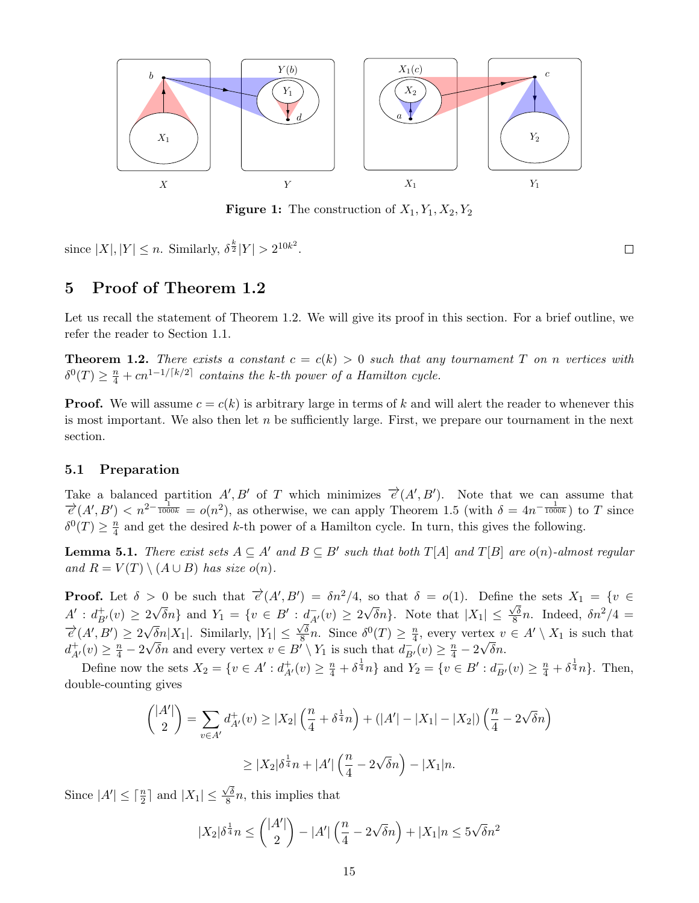

**Figure 1:** The construction of  $X_1, Y_1, X_2, Y_2$ 

since  $|X|, |Y| \leq n$ . Similarly,  $\delta^{\frac{k}{2}}|Y| > 2^{10k^2}$ .

 $\Box$ 

# <span id="page-14-0"></span>5 Proof of Theorem [1.2](#page-1-1)

Let us recall the statement of Theorem [1.2.](#page-1-1) We will give its proof in this section. For a brief outline, we refer the reader to Section [1.1.](#page-2-2)

**Theorem 1.2.** There exists a constant  $c = c(k) > 0$  such that any tournament T on n vertices with  $\delta^0(T) \geq \frac{n}{4} + cn^{1-1/\lceil k/2 \rceil}$  contains the k-th power of a Hamilton cycle.

**Proof.** We will assume  $c = c(k)$  is arbitrary large in terms of k and will alert the reader to whenever this is most important. We also then let  $n$  be sufficiently large. First, we prepare our tournament in the next section.

## 5.1 Preparation

Take a balanced partition  $A', B'$  of T which minimizes  $\overrightarrow{e}(A', B')$ . Note that we can assume that  $\vec{e}(A',B') < n^{2-\frac{1}{1000k}} = o(n^2)$ , as otherwise, we can apply Theorem [1.5](#page-2-0) (with  $\delta = 4n^{-\frac{1}{1000k}}$ ) to T since  $\delta^0(T) \geq \frac{n}{4}$  $\frac{n}{4}$  and get the desired k-th power of a Hamilton cycle. In turn, this gives the following.

**Lemma 5.1.** There exist sets  $A \subseteq A'$  and  $B \subseteq B'$  such that both  $T[A]$  and  $T[B]$  are  $o(n)$ -almost regular and  $R = V(T) \setminus (A \cup B)$  has size  $o(n)$ .

**Proof.** Let  $\delta > 0$  be such that  $\vec{e}(A', B') = \delta n^2/4$ , so that  $\delta = o(1)$ . Define the sets  $X_1 = \{v \in$  $A'$  :  $d_{B'}^+(v) \geq 2$  $\sqrt{\delta}n$ } and  $Y_1 = \{v \in B' : d_{A'}^-(v) \ge 2\}$ √  $\delta n$ . Note that  $|X_1| \leq$  $\frac{1}{\sqrt{\delta}}$  $2\sqrt{\delta}n$ } and  $Y_1 = \{v \in B': \frac{d}{\delta}v(v) \geq 2\sqrt{\delta}n\}$ . Note that  $|X_1| \leq \frac{\sqrt{\delta}}{8}n$ . Indeed,  $\delta n^2/4 =$  $\overrightarrow{e}(A',B') \geq 2\sqrt{\delta}n|X_1|$ . Similarly,  $|Y_1| \leq \frac{\sqrt{\delta}}{8}$  $\frac{\sqrt{\delta}}{8}n$ . Since  $\delta^0(T) \geq \frac{n}{4}$  $\sqrt{\delta n}|X_1|$ . Similarly,  $|Y_1| \leq \frac{\sqrt{\delta}}{8}n$ . Since  $\delta^0(T) \geq \frac{n}{4}$ , every vertex  $v \in A' \setminus X_1$  is such that  $d_{A'}^+(v) \geq \frac{n}{4} - 2\sqrt{\delta}n$  and every vertex  $v \in B' \setminus Y_1$  is such that  $d_{B'}^-(v) \geq \frac{n}{4} - 2\sqrt{\delta}n$ .

Define now the sets  $X_2 = \{v \in A' : d_{A'}^+(v) \geq \frac{n}{4} + \delta^{\frac{1}{4}}n\}$  and  $Y_2 = \{v \in B' : d_{B'}^-(v) \geq \frac{n}{4} + \delta^{\frac{1}{4}}n\}$ . Then, double-counting gives

$$
\binom{|A'|}{2} = \sum_{v \in A'} d_{A'}^+(v) \ge |X_2| \left(\frac{n}{4} + \delta^{\frac{1}{4}} n\right) + (|A'| - |X_1| - |X_2|) \left(\frac{n}{4} - 2\sqrt{\delta} n\right)
$$

$$
\geq |X_2|\delta^{\frac{1}{4}}n + |A'| \left(\frac{n}{4} - 2\sqrt{\delta}n\right) - |X_1|n.
$$

Since  $|A'| \leq \lceil \frac{n}{2} \rceil$  and  $|X_1| \leq$  $\sqrt{\delta}$  $\frac{\sqrt{8}}{8}n$ , this implies that

$$
|X_2|\delta^{\frac{1}{4}}n \le {|A'| \choose 2} - |A'| \left(\frac{n}{4} - 2\sqrt{\delta}n\right) + |X_1|n \le 5\sqrt{\delta}n^2
$$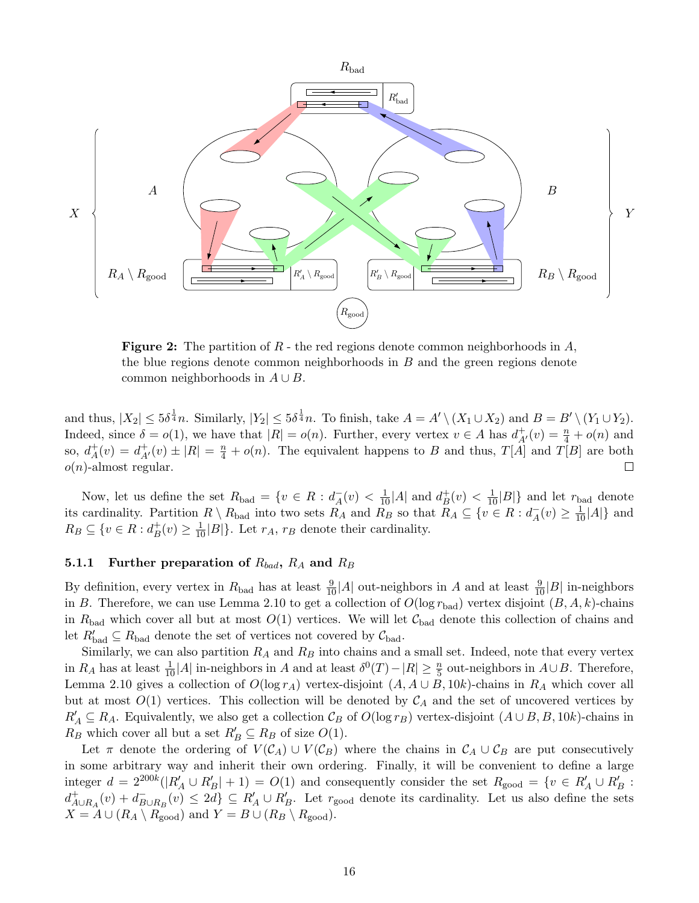<span id="page-15-0"></span>

**Figure 2:** The partition of  $R$  - the red regions denote common neighborhoods in  $A$ , the blue regions denote common neighborhoods in B and the green regions denote common neighborhoods in  $A \cup B$ .

and thus,  $|X_2| \le 5\delta^{\frac{1}{4}}n$ . Similarly,  $|Y_2| \le 5\delta^{\frac{1}{4}}n$ . To finish, take  $A = A' \setminus (X_1 \cup X_2)$  and  $B = B' \setminus (Y_1 \cup Y_2)$ . Indeed, since  $\delta = o(1)$ , we have that  $|R| = o(n)$ . Further, every vertex  $v \in A$  has  $d^+_{A'}(v) = \frac{n}{4} + o(n)$  and so,  $d^+_{\scriptscriptstyle{A}}$  $A^+(v) = d^+_{A'}(v) \pm |R| = \frac{n}{4} + o(n)$ . The equivalent happens to B and thus,  $T[A]$  and  $T[B]$  are both  $o(n)$ -almost regular.  $\Box$ 

Now, let us define the set  $R_{bad} = \{v \in R : d_A^{\dagger}\}$  $_{A}^{-}(v) < \frac{1}{10}|A|$  and  $d_{B}^{+}$  $\frac{1}{B}(v) < \frac{1}{10}|B|\}$  and let  $r_{bad}$  denote its cardinality. Partition  $R \setminus R_{bad}$  into two sets  $R_A$  and  $R_B$  so that  $R_A \subseteq \{v \in R : d_A^- \}$  $_{A}^{-}(v) \geq \frac{1}{10}|A|\}$  and  $R_B \subseteq \{v \in R : d_B^+$  $_B^+(v) \geq \frac{1}{10}|B|\}.$  Let  $r_A$ ,  $r_B$  denote their cardinality.

## 5.1.1 Further preparation of  $R_{bad}$ ,  $R_A$  and  $R_B$

By definition, every vertex in  $R_{bad}$  has at least  $\frac{9}{10}|A|$  out-neighbors in A and at least  $\frac{9}{10}|B|$  in-neighbors in B. Therefore, we can use Lemma [2.10](#page-6-3) to get a collection of  $O(\log r_{bad})$  vertex disjoint  $(B, A, k)$ -chains in  $R_{bad}$  which cover all but at most  $O(1)$  vertices. We will let  $C_{bad}$  denote this collection of chains and let  $R'_{bad} \subseteq R_{bad}$  denote the set of vertices not covered by  $\mathcal{C}_{bad}$ .

Similarly, we can also partition  $R_A$  and  $R_B$  into chains and a small set. Indeed, note that every vertex in  $R_A$  has at least  $\frac{1}{10}|A|$  in-neighbors in A and at least  $\delta^0(T) - |R| \ge \frac{n}{5}$  out-neighbors in  $A \cup B$ . Therefore, Lemma [2.10](#page-6-3) gives a collection of  $O(\log r_A)$  vertex-disjoint  $(A, A \cup B, 10k)$ -chains in  $R_A$  which cover all but at most  $O(1)$  vertices. This collection will be denoted by  $\mathcal{C}_A$  and the set of uncovered vertices by  $R'_A \subseteq R_A$ . Equivalently, we also get a collection  $\mathcal{C}_B$  of  $O(\log r_B)$  vertex-disjoint  $(A \cup B, B, 10k)$ -chains in  $R_B$  which cover all but a set  $R'_B \subseteq R_B$  of size  $O(1)$ .

Let  $\pi$  denote the ordering of  $V(C_A) \cup V(C_B)$  where the chains in  $C_A \cup C_B$  are put consecutively in some arbitrary way and inherit their own ordering. Finally, it will be convenient to define a large integer  $d = 2^{200k}(|R'_A \cup R'_B| + 1) = O(1)$  and consequently consider the set  $R_{\text{good}} = \{v \in R'_A \cup R'_B :$  $d^+_{A\cup R_A}(v) + d^-_B$  $E_{\text{B}\cup R_B}(v) \leq 2d$   $\subseteq R'_A \cup R'_B$ . Let  $r_{\text{good}}$  denote its cardinality. Let us also define the sets  $X = A \cup (R_A \setminus R_{\text{good}})$  and  $Y = B \cup (R_B \setminus R_{\text{good}})$ .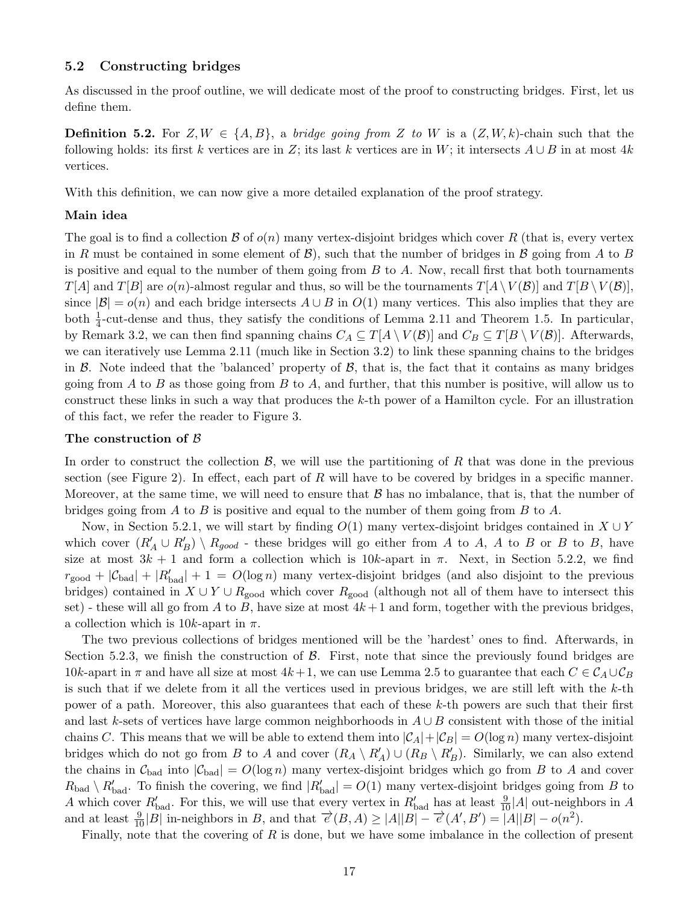## 5.2 Constructing bridges

As discussed in the proof outline, we will dedicate most of the proof to constructing bridges. First, let us define them.

**Definition 5.2.** For  $Z, W \in \{A, B\}$ , a *bridge going from* Z to W is a  $(Z, W, k)$ -chain such that the following holds: its first k vertices are in Z; its last k vertices are in W; it intersects  $A \cup B$  in at most 4k vertices.

With this definition, we can now give a more detailed explanation of the proof strategy.

## Main idea

The goal is to find a collection  $\mathcal B$  of  $o(n)$  many vertex-disjoint bridges which cover R (that is, every vertex in R must be contained in some element of  $\mathcal{B}$ ), such that the number of bridges in B going from A to B is positive and equal to the number of them going from  $B$  to  $A$ . Now, recall first that both tournaments  $T[A]$  and  $T[B]$  are  $o(n)$ -almost regular and thus, so will be the tournaments  $T[A \setminus V(B)]$  and  $T[B \setminus V(B)]$ , since  $|\mathcal{B}| = o(n)$  and each bridge intersects  $A \cup B$  in  $O(1)$  many vertices. This also implies that they are both  $\frac{1}{4}$ -cut-dense and thus, they satisfy the conditions of Lemma [2.11](#page-7-0) and Theorem [1.5.](#page-2-0) In particular, by Remark [3.2,](#page-12-4) we can then find spanning chains  $C_A \subseteq T[A \setminus V(\mathcal{B})]$  and  $C_B \subseteq T[B \setminus V(\mathcal{B})]$ . Afterwards, we can iteratively use Lemma [2.11](#page-7-0) (much like in Section [3.2\)](#page-11-0) to link these spanning chains to the bridges in  $\beta$ . Note indeed that the 'balanced' property of  $\beta$ , that is, the fact that it contains as many bridges going from A to B as those going from B to A, and further, that this number is positive, will allow us to construct these links in such a way that produces the k-th power of a Hamilton cycle. For an illustration of this fact, we refer the reader to Figure [3.](#page-21-0)

## The construction of B

In order to construct the collection  $\mathcal{B}$ , we will use the partitioning of R that was done in the previous section (see Figure [2\)](#page-15-0). In effect, each part of R will have to be covered by bridges in a specific manner. Moreover, at the same time, we will need to ensure that  $\beta$  has no imbalance, that is, that the number of bridges going from A to B is positive and equal to the number of them going from B to A.

Now, in Section [5.2.1,](#page-17-0) we will start by finding  $O(1)$  many vertex-disjoint bridges contained in  $X \cup Y$ which cover  $(R'_A \cup R'_B) \setminus R_{good}$  - these bridges will go either from A to A, A to B or B to B, have size at most  $3k + 1$  and form a collection which is  $10k$ -apart in  $\pi$ . Next, in Section [5.2.2,](#page-18-0) we find  $r_{\text{good}} + |\mathcal{C}_{\text{bad}}| + |R'_{\text{bad}}| + 1 = O(\log n)$  many vertex-disjoint bridges (and also disjoint to the previous bridges) contained in  $X \cup Y \cup R_{good}$  which cover  $R_{good}$  (although not all of them have to intersect this set) - these will all go from A to B, have size at most  $4k+1$  and form, together with the previous bridges, a collection which is 10k-apart in  $\pi$ .

The two previous collections of bridges mentioned will be the 'hardest' ones to find. Afterwards, in Section [5.2.3,](#page-20-0) we finish the construction of  $\beta$ . First, note that since the previously found bridges are 10k-apart in  $\pi$  and have all size at most  $4k+1$ , we can use Lemma [2.5](#page-5-2) to guarantee that each  $C \in \mathcal{C}_A \cup \mathcal{C}_B$ is such that if we delete from it all the vertices used in previous bridges, we are still left with the  $k$ -th power of a path. Moreover, this also guarantees that each of these k-th powers are such that their first and last k-sets of vertices have large common neighborhoods in  $A \cup B$  consistent with those of the initial chains C. This means that we will be able to extend them into  $|\mathcal{C}_A| + |\mathcal{C}_B| = O(\log n)$  many vertex-disjoint bridges which do not go from B to A and cover  $(R_A \setminus R'_A) \cup (R_B \setminus R'_B)$ . Similarly, we can also extend the chains in  $\mathcal{C}_{bad}$  into  $|\mathcal{C}_{bad}| = O(\log n)$  many vertex-disjoint bridges which go from B to A and cover  $R_{bad} \setminus R'_{bad}$ . To finish the covering, we find  $|R'_{bad}| = O(1)$  many vertex-disjoint bridges going from B to A which cover  $R'_{bad}$ . For this, we will use that every vertex in  $R'_{bad}$  has at least  $\frac{9}{10}|A|$  out-neighbors in A and at least  $\frac{9}{10}|B|$  in-neighbors in B, and that  $\overrightarrow{e}(B, A) \ge |A||B| - \overrightarrow{e}(A', B') = |A||B| - o(n^2)$ .

Finally, note that the covering of  $R$  is done, but we have some imbalance in the collection of present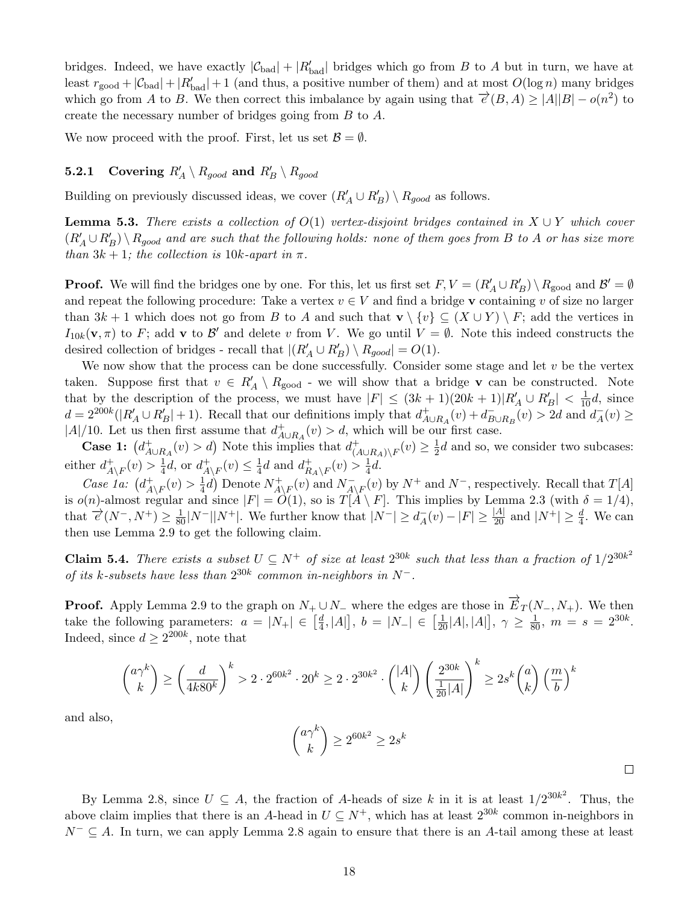bridges. Indeed, we have exactly  $|\mathcal{C}_{bad}| + |R'_{bad}|$  bridges which go from B to A but in turn, we have at least  $r_{\text{good}} + |\mathcal{C}_{\text{bad}}| + |R'_{\text{bad}}| + 1$  (and thus, a positive number of them) and at most  $O(\log n)$  many bridges which go from A to B. We then correct this imbalance by again using that  $\vec{e}(B, A) \ge |A||B| - o(n^2)$  to create the necessary number of bridges going from B to A.

We now proceed with the proof. First, let us set  $\mathcal{B} = \emptyset$ .

# <span id="page-17-0"></span>5.2.1 Covering  $R'_A \setminus R_{good}$  and  $R'_B \setminus R_{good}$

Building on previously discussed ideas, we cover  $(R'_A \cup R'_B) \setminus R_{good}$  as follows.

**Lemma 5.3.** There exists a collection of  $O(1)$  vertex-disjoint bridges contained in  $X \cup Y$  which cover  $(R'_A\cup R'_B)\setminus R_{good}$  and are such that the following holds: none of them goes from B to A or has size more than  $3k + 1$ ; the collection is 10k-apart in  $\pi$ .

**Proof.** We will find the bridges one by one. For this, let us first set  $F, V = (R'_A \cup R'_B) \setminus R_{\text{good}}$  and  $\mathcal{B}' = \emptyset$ and repeat the following procedure: Take a vertex  $v \in V$  and find a bridge v containing v of size no larger than  $3k + 1$  which does not go from B to A and such that  $\mathbf{v} \setminus \{v\} \subseteq (X \cup Y) \setminus F$ ; add the vertices in  $I_{10k}(\mathbf{v},\pi)$  to F; add **v** to B' and delete v from V. We go until  $V = \emptyset$ . Note this indeed constructs the desired collection of bridges - recall that  $|(R'_A \cup R'_B) \setminus R_{good}| = O(1)$ .

We now show that the process can be done successfully. Consider some stage and let  $v$  be the vertex taken. Suppose first that  $v \in R'_A \setminus R_{good}$  - we will show that a bridge **v** can be constructed. Note that by the description of the process, we must have  $|F| \leq (3k+1)(20k+1)|R'_A \cup R'_B| < \frac{1}{10}d$ , since  $d = 2^{200k}(|R'_A \cup R'_B| + 1)$ . Recall that our definitions imply that  $d^+_{A \cup R_A}(v) + d^-_B$  $\overline{B} \cup R_B(v) > 2d$  and  $\overline{d}_A$  $A^-(v) \geq$ |A|/10. Let us then first assume that  $d^+_{A\cup R_A}(v) > d$ , which will be our first case.

**Case 1:**  $\left(d_{A\cup R_A}^+(v) > d\right)$  Note this implies that  $d_{\left(\lambda\right)}^+$  $_{(A\cup R_A)\setminus F}^+(v)\geq \frac{1}{2}$  $\frac{1}{2}d$  and so, we consider two subcases: either  $d^+_4$  $\frac{1}{A\setminus F}(v) > \frac{1}{4}$  $\frac{1}{4}d$ , or  $d_A^+$  $^+_{A\setminus F}(v) \leq \frac{1}{4}$  $\frac{1}{4}d$  and  $d_R^+$  $^+_{R_A\setminus F}(v) > \frac{1}{4}$  $rac{1}{4}d$ .

Case 1a:  $\left(d_A^+\right)$  $^+_{A\setminus F}(v) > \frac{1}{4}$  $\frac{1}{4}d$ ) Denote  $N_A^+$  $A\backslash F(v)$  and  $N_{A}^ \overline{A}_{\setminus F}(v)$  by  $N^+$  and  $N^-$ , respectively. Recall that  $T[A]$ is  $o(n)$ -almost regular and since  $|F| = O(1)$ , so is  $T[A \setminus F]$ . This implies by Lemma [2.3](#page-4-3) (with  $\delta = 1/4$ ), that  $\overrightarrow{e}(N^-, N^+) \geq \frac{1}{80} |N^-||N^+|$ . We further know that  $|N^-| \geq d_A^ \frac{1}{A}(v) - |F| \ge \frac{|A|}{20}$  and  $|N^+| \ge \frac{d}{4}$ . We can then use Lemma [2.9](#page-6-2) to get the following claim.

**Claim 5.4.** There exists a subset  $U \subseteq N^+$  of size at least  $2^{30k}$  such that less than a fraction of  $1/2^{30k^2}$ of its k-subsets have less than  $2^{30k}$  common in-neighbors in  $N^-$ .

**Proof.** Apply Lemma [2.9](#page-6-2) to the graph on  $N_+ \cup N_-$  where the edges are those in  $\overrightarrow{E}_T(N_-, N_+)$ . We then take the following parameters:  $a = |N_+| \in \left[\frac{d}{4}\right]$  $\left[\frac{d}{4}, |A|\right], b = |N_-| \in \left[\frac{1}{20}|A|, |A|\right], \gamma \ge \frac{1}{80}, m = s = 2^{30k}.$ Indeed, since  $d \geq 2^{200k}$ , note that

$$
\binom{a\gamma^k}{k} \ge \left(\frac{d}{4k80^k}\right)^k > 2 \cdot 2^{60k^2} \cdot 20^k \ge 2 \cdot 2^{30k^2} \cdot \binom{|A|}{k} \left(\frac{2^{30k}}{\frac{1}{20}|A|}\right)^k \ge 2s^k \binom{a}{k} \left(\frac{m}{b}\right)^k
$$

and also,

$$
\binom{a\gamma^k}{k} \ge 2^{60k^2} \ge 2s^k
$$

By Lemma [2.8,](#page-6-0) since  $U \subseteq A$ , the fraction of A-heads of size k in it is at least  $1/2^{30k^2}$ . Thus, the above claim implies that there is an A-head in  $U \subseteq N^+$ , which has at least  $2^{30k}$  common in-neighbors in  $N^{-} \subseteq A$ . In turn, we can apply Lemma [2.8](#page-6-0) again to ensure that there is an A-tail among these at least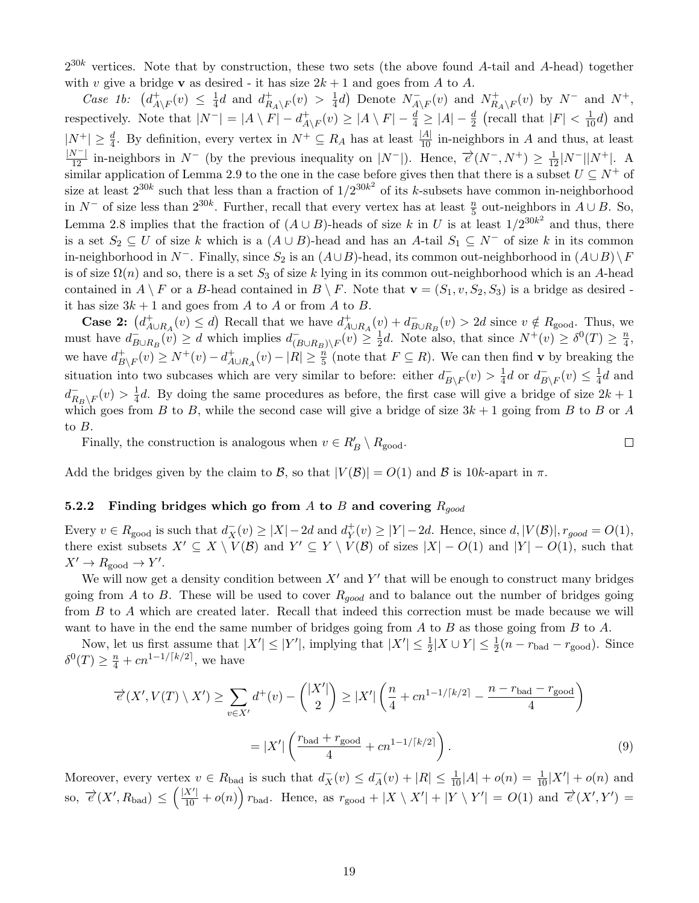$2^{30k}$  vertices. Note that by construction, these two sets (the above found A-tail and A-head) together with v give a bridge **v** as desired - it has size  $2k + 1$  and goes from A to A.

Case 1b:  $(d_A^+$  $^+_{A\setminus F}(v) \leq \frac{1}{4}$  $\frac{1}{4}d$  and  $d_R^+$  $\frac{1}{R_A\setminus F}(v) > \frac{1}{4}$  $\frac{1}{4}d$ ) Denote  $N_{A}^ \overline{A\setminus F}(v)$  and  $N_{R}^+$  $R_{A\setminus F}^+(v)$  by  $N^-$  and  $N^+$ , respectively. Note that  $|N^-| = |A \setminus F| - d_A^+$  $A\choose A\setminus F$   $\geq |A \setminus F| - \frac{d}{4} \geq |A| - \frac{d}{2}$  (recall that  $|F| < \frac{1}{10}d$ ) and  $|N^+| \geq \frac{d}{4}$ . By definition, every vertex in  $N^+ \subseteq R_A$  has at least  $\frac{|A|}{10}$  in-neighbors in A and thus, at least  $\frac{|N^{-}|}{12}$  in-neighbors in  $N^{-}$  (by the previous inequality on  $|N^{-}|$ ). Hence,  $\vec{e}(N^{-}, N^{+}) \geq \frac{1}{12}|N^{-}||N^{+}|$ . A similar application of Lemma [2.9](#page-6-2) to the one in the case before gives then that there is a subset  $U \subseteq N^+$  of size at least  $2^{30k}$  such that less than a fraction of  $1/2^{30k^2}$  of its k-subsets have common in-neighborhood in  $N^-$  of size less than  $2^{30k}$ . Further, recall that every vertex has at least  $\frac{n}{5}$  out-neighbors in  $A \cup B$ . So, Lemma [2.8](#page-6-0) implies that the fraction of  $(A \cup B)$ -heads of size k in U is at least  $1/2^{30k^2}$  and thus, there is a set  $S_2 \subseteq U$  of size k which is a  $(A \cup B)$ -head and has an A-tail  $S_1 \subseteq N^-$  of size k in its common in-neighborhood in N<sup>-</sup>. Finally, since  $S_2$  is an  $(A \cup B)$ -head, its common out-neighborhood in  $(A \cup B) \setminus F$ is of size  $\Omega(n)$  and so, there is a set  $S_3$  of size k lying in its common out-neighborhood which is an A-head contained in  $A \setminus F$  or a B-head contained in  $B \setminus F$ . Note that  $\mathbf{v} = (S_1, v, S_2, S_3)$  is a bridge as desired it has size  $3k + 1$  and goes from A to A or from A to B.

**Case 2:**  $(d_{A\cup R_A}^+(v) \leq d)$  Recall that we have  $d_{A\cup R_A}^+(v) + d_B^ E_{B\cup R_B}(v) > 2d$  since  $v \notin R_{\text{good}}$ . Thus, we must have  $d_B^ \overline{B} \cup R_B(v) \geq d$  which implies  $d_{(R)}^{-}$  $\frac{1}{(B\cup R_B)\setminus F}(v) \geq \frac{1}{2}$  $\frac{1}{2}d$ . Note also, that since  $N^+(v) \geq \delta^0(T) \geq \frac{n}{4}$  $\frac{n}{4}$ , we have  $d_B^+$  $B\vert_{B\setminus F}(v) \geq N^+(v) - d^+_{A\cup R_A}(v) - |R| \geq \frac{n}{5}$  (note that  $F \subseteq R$ ). We can then find v by breaking the situation into two subcases which are very similar to before: either  $d_{R}^{-}$  $B_{\setminus F}(v) > \frac{1}{4}$  $\frac{1}{4}d$  or  $d_B^ B_{\setminus F}(v) \leq \frac{1}{4}$  $\frac{1}{4}d$  and  $d^-_R$  $R_B\backslash F(v) > \frac{1}{4}$  $\frac{1}{4}d$ . By doing the same procedures as before, the first case will give a bridge of size  $2k+1$ which goes from B to B, while the second case will give a bridge of size  $3k + 1$  going from B to B or A to B.

 $\Box$ 

Finally, the construction is analogous when  $v \in R'_B \setminus R_{\text{good}}$ .

Add the bridges given by the claim to B, so that  $|V(B)| = O(1)$  and B is 10k-apart in  $\pi$ .

## <span id="page-18-0"></span>5.2.2 Finding bridges which go from A to B and covering  $R_{qood}$

Every  $v \in R_{\text{good}}$  is such that  $d_X^-(v) \ge |X| - 2d$  and  $d_Y^+$  $Y(Y \ge |Y| - 2d.$  Hence, since  $d, |V(\mathcal{B})|, r_{good} = O(1),$ there exist subsets  $X' \subseteq X \setminus V(\mathcal{B})$  and  $Y' \subseteq Y \setminus V(\mathcal{B})$  of sizes  $|X| - O(1)$  and  $|Y| - O(1)$ , such that  $X' \to R_{\text{good}} \to Y'.$ 

We will now get a density condition between  $X'$  and  $Y'$  that will be enough to construct many bridges going from A to B. These will be used to cover  $R_{qood}$  and to balance out the number of bridges going from B to A which are created later. Recall that indeed this correction must be made because we will want to have in the end the same number of bridges going from  $A$  to  $B$  as those going from  $B$  to  $A$ .

Now, let us first assume that  $|X'| \leq |Y'|$ , implying that  $|X'| \leq \frac{1}{2}|X \cup Y| \leq \frac{1}{2}(n - r_{bad} - r_{good})$ . Since  $\delta^0(T) \geq \frac{n}{4} + cn^{1-1/[k/2]},$  we have

<span id="page-18-1"></span>
$$
\overrightarrow{e}(X', V(T) \setminus X') \ge \sum_{v \in X'} d^+(v) - \binom{|X'|}{2} \ge |X'| \left(\frac{n}{4} + cn^{1-1/[k/2]} - \frac{n - r_{\text{bad}} - r_{\text{good}}}{4}\right)
$$

$$
= |X'| \left(\frac{r_{\text{bad}} + r_{\text{good}}}{4} + cn^{1-1/[k/2]}\right). \tag{9}
$$

Moreover, every vertex  $v \in R_{bad}$  is such that  $d_X^-(v) \leq d_A^ \frac{1}{A}(v) + |R| \leq \frac{1}{10}|A| + o(n) = \frac{1}{10}|X'| + o(n)$  and  $\text{so, } \vec{\epsilon}(X', R_{bad}) \leq (\frac{|X'|}{10} + o(n)) r_{bad}.$  Hence, as  $r_{good} + |X \setminus X'| + |Y \setminus Y'| = O(1)$  and  $\vec{\epsilon}(X', Y') =$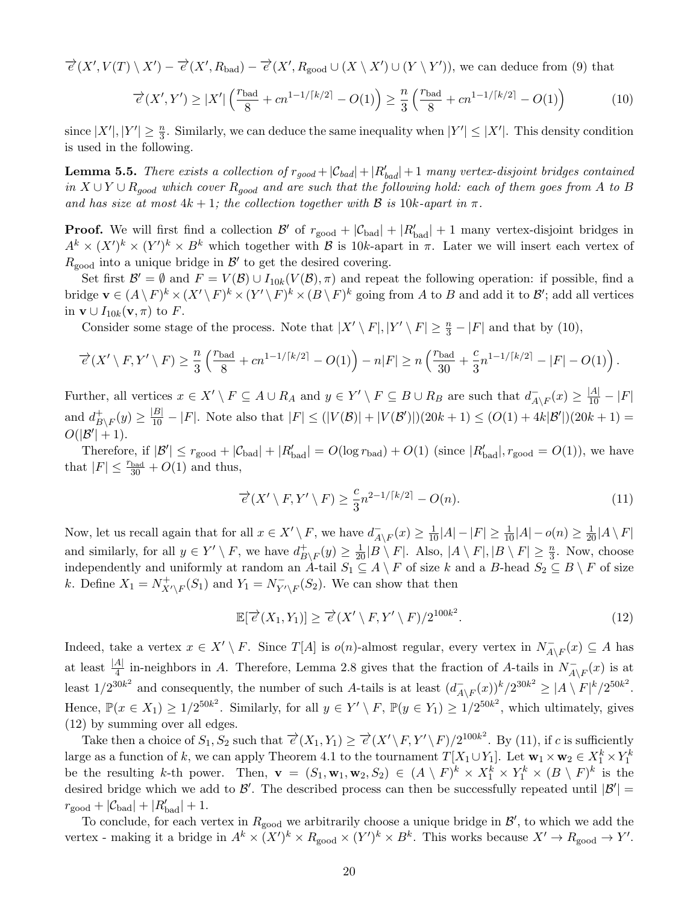$$
\overrightarrow{e}(X', V(T) \setminus X') - \overrightarrow{e}(X', R_{bad}) - \overrightarrow{e}(X', R_{good} \cup (X \setminus X') \cup (Y \setminus Y')),
$$
 we can deduce from (9) that

<span id="page-19-0"></span>
$$
\overrightarrow{e}(X',Y') \ge |X'| \left(\frac{r_{\text{bad}}}{8} + cn^{1-1/\lceil k/2 \rceil} - O(1)\right) \ge \frac{n}{3} \left(\frac{r_{\text{bad}}}{8} + cn^{1-1/\lceil k/2 \rceil} - O(1)\right) \tag{10}
$$

since  $|X'|, |Y'| \geq \frac{n}{3}$ . Similarly, we can deduce the same inequality when  $|Y'| \leq |X'|$ . This density condition is used in the following.

<span id="page-19-3"></span>**Lemma 5.5.** There exists a collection of  $r_{good} + |C_{bad}| + |R_{bad}'| + 1$  many vertex-disjoint bridges contained in  $X \cup Y \cup R_{good}$  which cover  $R_{good}$  and are such that the following hold: each of them goes from A to B and has size at most  $4k + 1$ ; the collection together with B is  $10k$ -apart in  $\pi$ .

**Proof.** We will first find a collection  $\mathcal{B}'$  of  $r_{\text{good}} + |\mathcal{C}_{\text{bad}}| + |R'_{\text{bad}}| + 1$  many vertex-disjoint bridges in  $A^k \times (X')^k \times (Y')^k \times B^k$  which together with B is 10k-apart in  $\pi$ . Later we will insert each vertex of  $R_{\text{good}}$  into a unique bridge in  $\mathcal{B}'$  to get the desired covering.

Set first  $\mathcal{B}' = \emptyset$  and  $F = V(\mathcal{B}) \cup I_{10k}(V(\mathcal{B}), \pi)$  and repeat the following operation: if possible, find a bridge  $\mathbf{v} \in (A \setminus F)^k \times (X' \setminus F)^k \times (Y' \setminus F)^k \times (B \setminus F)^k$  going from A to B and add it to B'; add all vertices in  $\mathbf{v} \cup I_{10k}(\mathbf{v}, \pi)$  to F.

Consider some stage of the process. Note that  $|X' \setminus F|, |Y' \setminus F| \geq \frac{n}{3} - |F|$  and that by [\(10\)](#page-19-0),

$$
\overrightarrow{e}(X' \setminus F, Y' \setminus F) \ge \frac{n}{3} \left( \frac{r_{\text{bad}}}{8} + cn^{1-1/\lceil k/2 \rceil} - O(1) \right) - n|F| \ge n \left( \frac{r_{\text{bad}}}{30} + \frac{c}{3} n^{1-1/\lceil k/2 \rceil} - |F| - O(1) \right).
$$

Further, all vertices  $x \in X' \setminus F \subseteq A \cup R_A$  and  $y \in Y' \setminus F \subseteq B \cup R_B$  are such that  $d_A^ \frac{1}{A\setminus F}(x) \geq \frac{|A|}{10} - |F|$ and  $d_B^+$  $\frac{1}{B\setminus F}(y) \ge \frac{|B|}{10} - |F|$ . Note also that  $|F| \le (|V(\mathcal{B})| + |V(\mathcal{B'})|)(20k + 1) \le (O(1) + 4k|\mathcal{B'}|)(20k + 1) =$  $O(|\mathcal{B}'|+1)$ .

Therefore, if  $|\mathcal{B}'| \leq r_{\text{good}} + |\mathcal{C}_{\text{bad}}| + |R'_{\text{bad}}| = O(\log r_{\text{bad}}) + O(1)$  (since  $|R'_{\text{bad}}|, r_{\text{good}} = O(1)$ ), we have that  $|F| \leq \frac{r_{\text{bad}}}{30} + O(1)$  and thus,

<span id="page-19-2"></span>
$$
\overrightarrow{e}(X' \setminus F, Y' \setminus F) \ge \frac{c}{3} n^{2-1/\lceil k/2 \rceil} - O(n). \tag{11}
$$

Now, let us recall again that for all  $x \in X' \setminus F$ , we have  $d_A^ \frac{1}{A\setminus F}(x) \geq \frac{1}{10}|A| - |F| \geq \frac{1}{10}|A| - o(n) \geq \frac{1}{20}|A\setminus F|$ and similarly, for all  $y \in Y' \setminus F$ , we have  $d_B^+$  $_{B\backslash F}^+(y)\geq \frac{1}{20}|B\setminus F|$ . Also,  $|A\setminus F|,|B\setminus F|\geq \frac{n}{3}$ . Now, choose independently and uniformly at random an A-tail  $S_1 \subseteq A \setminus F$  of size k and a B-head  $S_2 \subseteq B \setminus F$  of size k. Define  $X_1 = N^+_{X' \setminus F}(S_1)$  and  $Y_1 = N^-_{Y' \setminus F}(S_2)$ . We can show that then

<span id="page-19-1"></span>
$$
\mathbb{E}[\overrightarrow{e}(X_1, Y_1)] \ge \overrightarrow{e}(X' \setminus F, Y' \setminus F)/2^{100k^2}.
$$
\n(12)

Indeed, take a vertex  $x \in X' \setminus F$ . Since  $T[A]$  is  $o(n)$ -almost regular, every vertex in  $N_{A'}^ \overline{A\setminus F}(x) \subseteq A$  has at least  $\frac{|A|}{4}$  in-neighbors in A. Therefore, Lemma [2.8](#page-6-0) gives that the fraction of A-tails in  $N_{A'}^ \overline{A\backslash F}(x)$  is at least  $1/2^{30k^2}$  and consequently, the number of such A-tails is at least  $\left(\frac{d}{4}\right)$  $\frac{1}{A\setminus F}(x))^k/2^{30k^2} \geq |A\setminus F|^k/2^{50k^2}.$ Hence,  $\mathbb{P}(x \in X_1) \geq 1/2^{50k^2}$ . Similarly, for all  $y \in Y' \setminus F$ ,  $\mathbb{P}(y \in Y_1) \geq 1/2^{50k^2}$ , which ultimately, gives [\(12\)](#page-19-1) by summing over all edges.

Take then a choice of  $S_1, S_2$  such that  $\overrightarrow{e}(X_1, Y_1) \geq \overrightarrow{e}(X' \setminus F, Y' \setminus F)/2^{100k^2}$ . By [\(11\)](#page-19-2), if c is sufficiently large as a function of k, we can apply Theorem [4.1](#page-12-1) to the tournament  $T[X_1 \cup Y_1]$ . Let  $\mathbf{w}_1 \times \mathbf{w}_2 \in X_1^k \times Y_1^k$ be the resulting k-th power. Then,  $\mathbf{v} = (S_1, \mathbf{w}_1, \mathbf{w}_2, S_2) \in (A \setminus F)^k \times X_1^k \times Y_1^k \times (B \setminus F)^k$  is the desired bridge which we add to  $\mathcal{B}'$ . The described process can then be successfully repeated until  $|\mathcal{B}'|$  =  $r_{\text{good}} + |\mathcal{C}_{\text{bad}}| + |R'_{\text{bad}}| + 1.$ 

To conclude, for each vertex in  $R_{\text{good}}$  we arbitrarily choose a unique bridge in  $\mathcal{B}'$ , to which we add the vertex - making it a bridge in  $A^k \times (X')^k \times R_{\text{good}} \times (Y')^k \times B^k$ . This works because  $X' \to R_{\text{good}} \to Y'$ .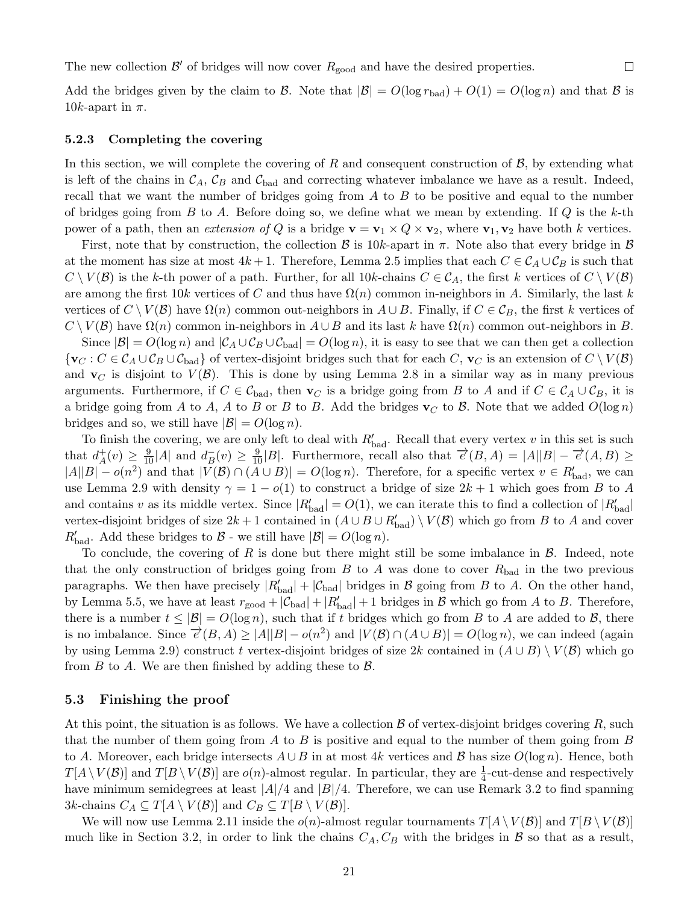The new collection  $\mathcal{B}'$  of bridges will now cover  $R_{\text{good}}$  and have the desired properties.

Add the bridges given by the claim to B. Note that  $|\mathcal{B}| = O(\log r_{bad}) + O(1) = O(\log n)$  and that B is 10k-apart in  $\pi$ .

 $\Box$ 

#### <span id="page-20-0"></span>5.2.3 Completing the covering

In this section, we will complete the covering of  $R$  and consequent construction of  $B$ , by extending what is left of the chains in  $\mathcal{C}_A$ ,  $\mathcal{C}_B$  and  $\mathcal{C}_{bad}$  and correcting whatever imbalance we have as a result. Indeed, recall that we want the number of bridges going from  $A$  to  $B$  to be positive and equal to the number of bridges going from  $B$  to  $A$ . Before doing so, we define what we mean by extending. If  $Q$  is the  $k$ -th power of a path, then an *extension of Q* is a bridge  $\mathbf{v} = \mathbf{v}_1 \times Q \times \mathbf{v}_2$ , where  $\mathbf{v}_1, \mathbf{v}_2$  have both k vertices.

First, note that by construction, the collection  $\beta$  is 10k-apart in  $\pi$ . Note also that every bridge in  $\beta$ at the moment has size at most  $4k+1$ . Therefore, Lemma [2.5](#page-5-2) implies that each  $C \in \mathcal{C}_A \cup \mathcal{C}_B$  is such that  $C \setminus V(\mathcal{B})$  is the k-th power of a path. Further, for all 10k-chains  $C \in C_A$ , the first k vertices of  $C \setminus V(\mathcal{B})$ are among the first  $10k$  vertices of C and thus have  $\Omega(n)$  common in-neighbors in A. Similarly, the last k vertices of  $C \setminus V(B)$  have  $\Omega(n)$  common out-neighbors in  $A \cup B$ . Finally, if  $C \in \mathcal{C}_B$ , the first k vertices of  $C \setminus V(\mathcal{B})$  have  $\Omega(n)$  common in-neighbors in  $A \cup B$  and its last k have  $\Omega(n)$  common out-neighbors in B.

Since  $|\mathcal{B}| = O(\log n)$  and  $|\mathcal{C}_A \cup \mathcal{C}_B \cup \mathcal{C}_{bad}| = O(\log n)$ , it is easy to see that we can then get a collection  ${\{v_C : C \in C_A \cup C_B \cup C_{bad}\}}$  of vertex-disjoint bridges such that for each C,  ${\bf v}_C$  is an extension of  $C \setminus V(B)$ and  $\mathbf{v}_C$  is disjoint to  $V(\mathcal{B})$ . This is done by using Lemma [2.8](#page-6-0) in a similar way as in many previous arguments. Furthermore, if  $C \in \mathcal{C}_{bad}$ , then  $\mathbf{v}_C$  is a bridge going from B to A and if  $C \in \mathcal{C}_A \cup \mathcal{C}_B$ , it is a bridge going from A to A, A to B or B to B. Add the bridges  $\mathbf{v}_C$  to B. Note that we added  $O(\log n)$ bridges and so, we still have  $|\mathcal{B}| = O(\log n)$ .

To finish the covering, we are only left to deal with  $R'_{bad}$ . Recall that every vertex v in this set is such that  $d_A^+$  $A^+(v) \geq \frac{9}{10}|A|$  and  $d^-_B$  $\overline{B}_B(v) \ge \frac{9}{10}|B|$ . Furthermore, recall also that  $\overrightarrow{e}(B, A) = |A||B| - \overrightarrow{e}(A, B) \ge$  $|A||B| - o(n^2)$  and that  $|V(\mathcal{B}) \cap (A \cup B)| = O(\log n)$ . Therefore, for a specific vertex  $v \in R'_{bad}$ , we can use Lemma [2.9](#page-6-2) with density  $\gamma = 1 - o(1)$  to construct a bridge of size  $2k + 1$  which goes from B to A and contains v as its middle vertex. Since  $|R'_{bad}| = O(1)$ , we can iterate this to find a collection of  $|R'_{bad}|$ vertex-disjoint bridges of size  $2k+1$  contained in  $(A\cup B\cup R'_{bad})\setminus V(\mathcal{B})$  which go from B to A and cover  $R'_{bad}$ . Add these bridges to  $B$  - we still have  $|B| = O(\log n)$ .

To conclude, the covering of R is done but there might still be some imbalance in  $\mathcal{B}$ . Indeed, note that the only construction of bridges going from  $B$  to  $A$  was done to cover  $R_{bad}$  in the two previous paragraphs. We then have precisely  $|R'_{bad}| + |\mathcal{C}_{bad}|$  bridges in  $\mathcal B$  going from  $B$  to  $A$ . On the other hand, by Lemma [5.5,](#page-19-3) we have at least  $r_{\text{good}} + |\mathcal{C}_{bad}| + |R'_{bad}| + 1$  bridges in  $\mathcal B$  which go from A to B. Therefore, there is a number  $t \leq |\mathcal{B}| = O(\log n)$ , such that if t bridges which go from B to A are added to B, there is no imbalance. Since  $\overrightarrow{e}(B, A) \ge |A||B| - o(n^2)$  and  $|V(B) \cap (A \cup B)| = O(\log n)$ , we can indeed (again by using Lemma [2.9\)](#page-6-2) construct t vertex-disjoint bridges of size 2k contained in  $(A \cup B) \setminus V(B)$  which go from  $B$  to  $A$ . We are then finished by adding these to  $B$ .

#### 5.3 Finishing the proof

At this point, the situation is as follows. We have a collection  $\beta$  of vertex-disjoint bridges covering R, such that the number of them going from A to B is positive and equal to the number of them going from B to A. Moreover, each bridge intersects  $A \cup B$  in at most 4k vertices and B has size  $O(\log n)$ . Hence, both  $T[A \setminus V(\mathcal{B})]$  and  $T[B \setminus V(\mathcal{B})]$  are  $o(n)$ -almost regular. In particular, they are  $\frac{1}{4}$ -cut-dense and respectively have minimum semidegrees at least  $|A|/4$  and  $|B|/4$ . Therefore, we can use Remark [3.2](#page-12-4) to find spanning 3k-chains  $C_A \subseteq T[A \setminus V(\mathcal{B})]$  and  $C_B \subseteq T[B \setminus V(\mathcal{B})]$ .

We will now use Lemma [2.11](#page-7-0) inside the  $o(n)$ -almost regular tournaments  $T[A \setminus V(\mathcal{B})]$  and  $T[B \setminus V(\mathcal{B})]$ much like in Section [3.2,](#page-11-0) in order to link the chains  $C_A, C_B$  with the bridges in B so that as a result,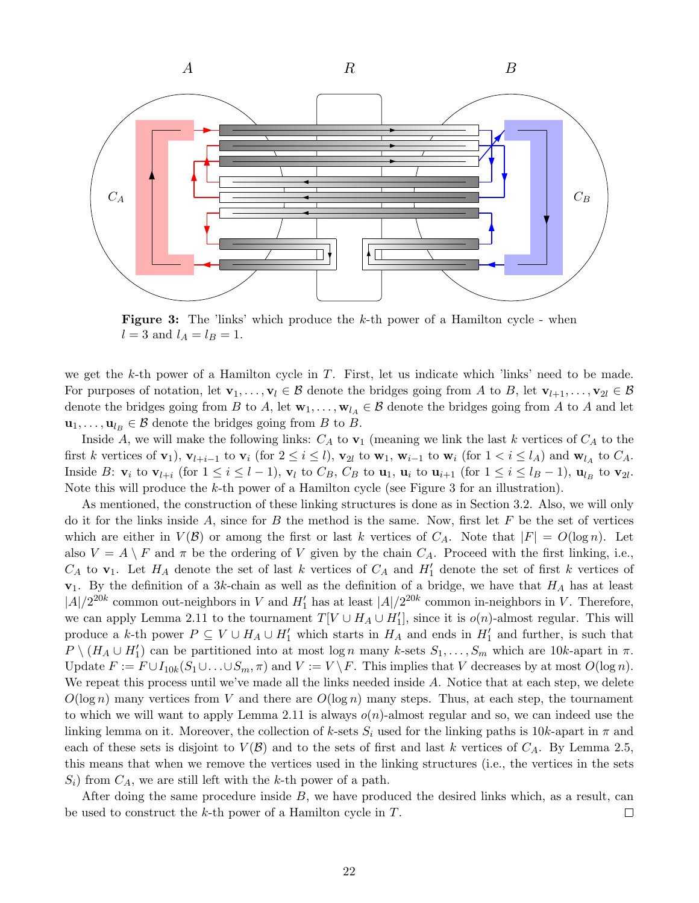<span id="page-21-0"></span>

**Figure 3:** The 'links' which produce the  $k$ -th power of a Hamilton cycle - when  $l = 3$  and  $l_A = l_B = 1$ .

we get the k-th power of a Hamilton cycle in  $T$ . First, let us indicate which 'links' need to be made. For purposes of notation, let  $\mathbf{v}_1, \ldots, \mathbf{v}_l \in \mathcal{B}$  denote the bridges going from A to B, let  $\mathbf{v}_{l+1}, \ldots, \mathbf{v}_{2l} \in \mathcal{B}$ denote the bridges going from B to A, let  $\mathbf{w}_1, \ldots, \mathbf{w}_{l_A} \in \mathcal{B}$  denote the bridges going from A to A and let  $\mathbf{u}_1, \ldots, \mathbf{u}_{l_B} \in \mathcal{B}$  denote the bridges going from B to B.

Inside A, we will make the following links:  $C_A$  to  $v_1$  (meaning we link the last k vertices of  $C_A$  to the first k vertices of  $\mathbf{v}_1$ ,  $\mathbf{v}_{l+i-1}$  to  $\mathbf{v}_i$  (for  $2 \le i \le l$ ),  $\mathbf{v}_{2l}$  to  $\mathbf{w}_1$ ,  $\mathbf{w}_{i-1}$  to  $\mathbf{w}_i$  (for  $1 < i \le l_A$ ) and  $\mathbf{w}_{l_A}$  to  $C_A$ . Inside B:  $\mathbf{v}_i$  to  $\mathbf{v}_{l+i}$  (for  $1 \leq i \leq l-1$ ),  $\mathbf{v}_l$  to  $C_B$ ,  $C_B$  to  $\mathbf{u}_1$ ,  $\mathbf{u}_i$  to  $\mathbf{u}_{i+1}$  (for  $1 \leq i \leq l_B-1$ ),  $\mathbf{u}_{l_B}$  to  $\mathbf{v}_{2l}$ . Note this will produce the k-th power of a Hamilton cycle (see Figure [3](#page-21-0) for an illustration).

As mentioned, the construction of these linking structures is done as in Section [3.2.](#page-11-0) Also, we will only do it for the links inside A, since for B the method is the same. Now, first let F be the set of vertices which are either in  $V(\mathcal{B})$  or among the first or last k vertices of  $C_A$ . Note that  $|F| = O(\log n)$ . Let also  $V = A \setminus F$  and  $\pi$  be the ordering of V given by the chain  $C_A$ . Proceed with the first linking, i.e.,  $C_A$  to  $\mathbf{v}_1$ . Let  $H_A$  denote the set of last k vertices of  $C_A$  and  $H'_1$  denote the set of first k vertices of  $v_1$ . By the definition of a 3k-chain as well as the definition of a bridge, we have that  $H_A$  has at least  $|A|/2^{20k}$  common out-neighbors in V and  $H'_1$  has at least  $|A|/2^{20k}$  common in-neighbors in V. Therefore, we can apply Lemma [2.11](#page-7-0) to the tournament  $T[V \cup H_A \cup H_1']$ , since it is  $o(n)$ -almost regular. This will produce a k-th power  $P \subseteq V \cup H_A \cup H'_1$  which starts in  $H_A$  and ends in  $H'_1$  and further, is such that  $P \setminus (H_A \cup H_1')$  can be partitioned into at most log n many k-sets  $S_1, \ldots, S_m$  which are 10k-apart in  $\pi$ . Update  $F := F \cup I_{10k}(S_1 \cup \ldots \cup S_m, \pi)$  and  $V := V \backslash F$ . This implies that V decreases by at most  $O(\log n)$ . We repeat this process until we've made all the links needed inside A. Notice that at each step, we delete  $O(\log n)$  many vertices from V and there are  $O(\log n)$  many steps. Thus, at each step, the tournament to which we will want to apply Lemma [2.11](#page-7-0) is always  $o(n)$ -almost regular and so, we can indeed use the linking lemma on it. Moreover, the collection of k-sets  $S_i$  used for the linking paths is 10k-apart in  $\pi$  and each of these sets is disjoint to  $V(\mathcal{B})$  and to the sets of first and last k vertices of  $C_A$ . By Lemma [2.5,](#page-5-2) this means that when we remove the vertices used in the linking structures (i.e., the vertices in the sets  $S_i$ ) from  $C_A$ , we are still left with the k-th power of a path.

After doing the same procedure inside  $B$ , we have produced the desired links which, as a result, can be used to construct the k-th power of a Hamilton cycle in T.  $\Box$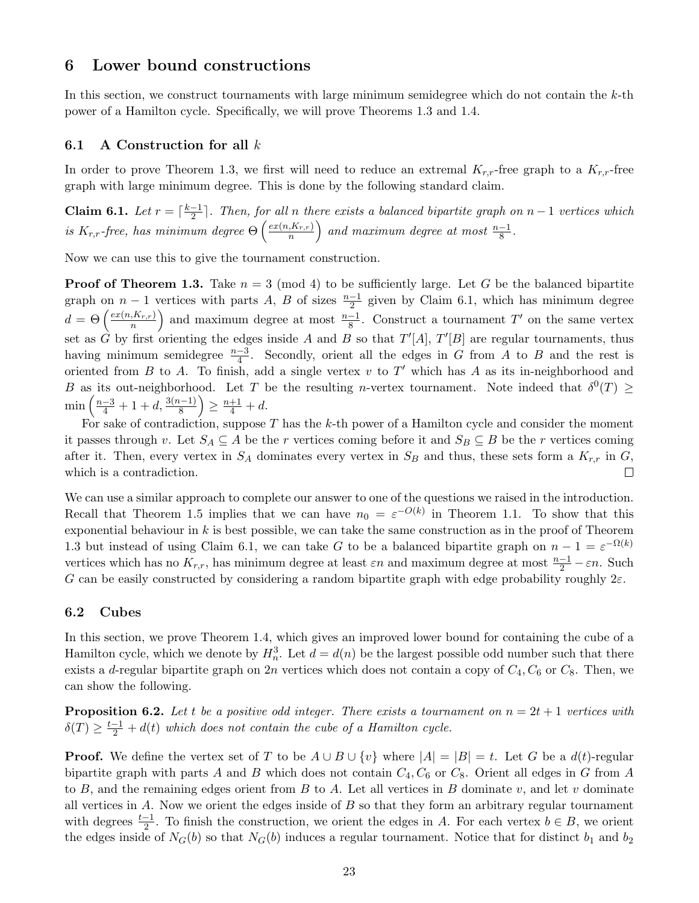## <span id="page-22-0"></span>6 Lower bound constructions

In this section, we construct tournaments with large minimum semidegree which do not contain the  $k$ -th power of a Hamilton cycle. Specifically, we will prove Theorems [1.3](#page-1-2) and [1.4.](#page-2-1)

## 6.1 A Construction for all  $k$

In order to prove Theorem [1.3,](#page-1-2) we first will need to reduce an extremal  $K_{r,r}$ -free graph to a  $K_{r,r}$ -free graph with large minimum degree. This is done by the following standard claim.

<span id="page-22-1"></span>Claim 6.1. Let  $r = \lceil \frac{k-1}{2} \rceil$  $\frac{-1}{2}$ . Then, for all n there exists a balanced bipartite graph on  $n-1$  vertices which is  $K_{r,r}$ -free, has minimum degree  $\Theta\left(\frac{ex(n,K_{r,r})}{n}\right)$  $\left(\frac{K_{r,r}}{n}\right)$  and maximum degree at most  $\frac{n-1}{8}$ .

Now we can use this to give the tournament construction.

**Proof of Theorem [1.3.](#page-1-2)** Take  $n = 3 \pmod{4}$  to be sufficiently large. Let G be the balanced bipartite graph on  $n-1$  vertices with parts A, B of sizes  $\frac{n-1}{2}$  given by Claim [6.1,](#page-22-1) which has minimum degree  $d = \Theta\left(\frac{ex(n,K_{r,r})}{n}\right)$  $\left(\frac{K_{r,r}}{n}\right)$  and maximum degree at most  $\frac{n-1}{8}$ . Construct a tournament T' on the same vertex set as  $\hat{G}$  by first orienting the edges inside A and B so that  $T'[A], T'[B]$  are regular tournaments, thus having minimum semidegree  $\frac{n-3}{4}$ . Secondly, orient all the edges in G from A to B and the rest is oriented from  $B$  to  $A$ . To finish, add a single vertex  $v$  to  $T'$  which has  $A$  as its in-neighborhood and B as its out-neighborhood. Let T be the resulting n-vertex tournament. Note indeed that  $\delta^0(T) \geq$  $\min\left(\frac{n-3}{4}+1+d,\frac{3(n-1)}{8}\right)\geq \frac{n+1}{4}+d.$ 

For sake of contradiction, suppose  $T$  has the  $k$ -th power of a Hamilton cycle and consider the moment it passes through v. Let  $S_A \subseteq A$  be the r vertices coming before it and  $S_B \subseteq B$  be the r vertices coming after it. Then, every vertex in  $S_A$  dominates every vertex in  $S_B$  and thus, these sets form a  $K_{r,r}$  in  $G$ , which is a contradiction.

We can use a similar approach to complete our answer to one of the questions we raised in the introduction. Recall that Theorem [1.5](#page-2-0) implies that we can have  $n_0 = \varepsilon^{-O(k)}$  in Theorem [1.1.](#page-1-0) To show that this exponential behaviour in  $k$  is best possible, we can take the same construction as in the proof of Theorem [1.3](#page-1-2) but instead of using Claim [6.1,](#page-22-1) we can take G to be a balanced bipartite graph on  $n-1 = \varepsilon^{-\Omega(k)}$ vertices which has no  $K_{r,r}$ , has minimum degree at least  $\varepsilon n$  and maximum degree at most  $\frac{n-1}{2} - \varepsilon n$ . Such G can be easily constructed by considering a random bipartite graph with edge probability roughly  $2\varepsilon$ .

#### 6.2 Cubes

In this section, we prove Theorem [1.4,](#page-2-1) which gives an improved lower bound for containing the cube of a Hamilton cycle, which we denote by  $H_n^3$ . Let  $d = d(n)$  be the largest possible odd number such that there exists a d-regular bipartite graph on 2n vertices which does not contain a copy of  $C_4$ ,  $C_6$  or  $C_8$ . Then, we can show the following.

<span id="page-22-2"></span>**Proposition 6.2.** Let t be a positive odd integer. There exists a tournament on  $n = 2t + 1$  vertices with  $\delta(T) \geq \frac{t-1}{2} + d(t)$  which does not contain the cube of a Hamilton cycle.

**Proof.** We define the vertex set of T to be  $A \cup B \cup \{v\}$  where  $|A| = |B| = t$ . Let G be a  $d(t)$ -regular bipartite graph with parts A and B which does not contain  $C_4$ ,  $C_6$  or  $C_8$ . Orient all edges in G from A to B, and the remaining edges orient from B to A. Let all vertices in B dominate  $v$ , and let v dominate all vertices in  $A$ . Now we orient the edges inside of  $B$  so that they form an arbitrary regular tournament with degrees  $\frac{t-1}{2}$ . To finish the construction, we orient the edges in A. For each vertex  $b \in B$ , we orient the edges inside of  $N_G(b)$  so that  $N_G(b)$  induces a regular tournament. Notice that for distinct  $b_1$  and  $b_2$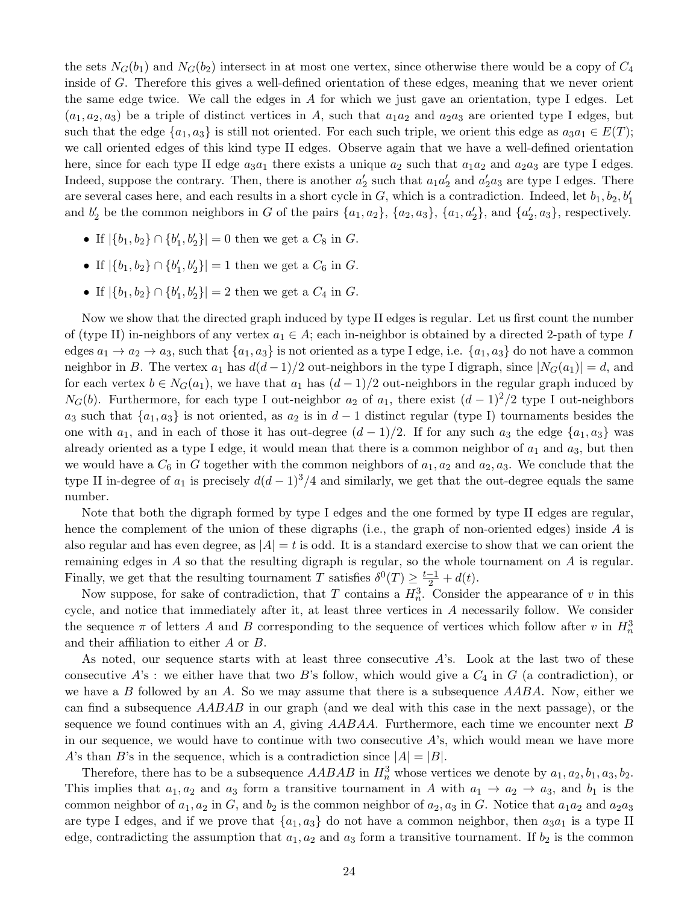the sets  $N_G(b_1)$  and  $N_G(b_2)$  intersect in at most one vertex, since otherwise there would be a copy of  $C_4$ inside of G. Therefore this gives a well-defined orientation of these edges, meaning that we never orient the same edge twice. We call the edges in  $A$  for which we just gave an orientation, type I edges. Let  $(a_1, a_2, a_3)$  be a triple of distinct vertices in A, such that  $a_1a_2$  and  $a_2a_3$  are oriented type I edges, but such that the edge  $\{a_1, a_3\}$  is still not oriented. For each such triple, we orient this edge as  $a_3a_1 \in E(T)$ ; we call oriented edges of this kind type II edges. Observe again that we have a well-defined orientation here, since for each type II edge  $a_3a_1$  there exists a unique  $a_2$  such that  $a_1a_2$  and  $a_2a_3$  are type I edges. Indeed, suppose the contrary. Then, there is another  $a'_2$  such that  $a_1a'_2$  and  $a'_2a_3$  are type I edges. There are several cases here, and each results in a short cycle in  $G$ , which is a contradiction. Indeed, let  $b_1, b_2, b'_1$ and  $b'_2$  be the common neighbors in G of the pairs  $\{a_1, a_2\}$ ,  $\{a_2, a_3\}$ ,  $\{a_1, a'_2\}$ , and  $\{a'_2, a_3\}$ , respectively.

- If  $|\{b_1, b_2\} \cap \{b'_1, b'_2\}| = 0$  then we get a  $C_8$  in  $G$ .
- If  $|\{b_1, b_2\} \cap \{b'_1, b'_2\}| = 1$  then we get a  $C_6$  in  $G$ .
- If  $|\{b_1, b_2\} \cap \{b'_1, b'_2\}| = 2$  then we get a  $C_4$  in  $G$ .

Now we show that the directed graph induced by type II edges is regular. Let us first count the number of (type II) in-neighbors of any vertex  $a_1 \in A$ ; each in-neighbor is obtained by a directed 2-path of type I edges  $a_1 \rightarrow a_2 \rightarrow a_3$ , such that  $\{a_1, a_3\}$  is not oriented as a type I edge, i.e.  $\{a_1, a_3\}$  do not have a common neighbor in B. The vertex  $a_1$  has  $d(d-1)/2$  out-neighbors in the type I digraph, since  $|N_G(a_1)| = d$ , and for each vertex  $b \in N_G(a_1)$ , we have that  $a_1$  has  $(d-1)/2$  out-neighbors in the regular graph induced by  $N_G(b)$ . Furthermore, for each type I out-neighbor  $a_2$  of  $a_1$ , there exist  $(d-1)^2/2$  type I out-neighbors a<sub>3</sub> such that  $\{a_1, a_3\}$  is not oriented, as  $a_2$  is in  $d-1$  distinct regular (type I) tournaments besides the one with  $a_1$ , and in each of those it has out-degree  $(d-1)/2$ . If for any such  $a_3$  the edge  $\{a_1, a_3\}$  was already oriented as a type I edge, it would mean that there is a common neighbor of  $a_1$  and  $a_3$ , but then we would have a  $C_6$  in G together with the common neighbors of  $a_1, a_2$  and  $a_2, a_3$ . We conclude that the type II in-degree of  $a_1$  is precisely  $d(d-1)^3/4$  and similarly, we get that the out-degree equals the same number.

Note that both the digraph formed by type I edges and the one formed by type II edges are regular, hence the complement of the union of these digraphs (i.e., the graph of non-oriented edges) inside  $A$  is also regular and has even degree, as  $|A| = t$  is odd. It is a standard exercise to show that we can orient the remaining edges in A so that the resulting digraph is regular, so the whole tournament on A is regular. Finally, we get that the resulting tournament T satisfies  $\delta^0(T) \geq \frac{t-1}{2} + d(t)$ .

Now suppose, for sake of contradiction, that T contains a  $H_n^3$ . Consider the appearance of v in this cycle, and notice that immediately after it, at least three vertices in A necessarily follow. We consider the sequence  $\pi$  of letters A and B corresponding to the sequence of vertices which follow after v in  $H_n^3$ and their affiliation to either A or B.

As noted, our sequence starts with at least three consecutive  $A$ 's. Look at the last two of these consecutive  $A$ 's : we either have that two  $B$ 's follow, which would give a  $C_4$  in  $G$  (a contradiction), or we have a B followed by an A. So we may assume that there is a subsequence  $AABA$ . Now, either we can find a subsequence AABAB in our graph (and we deal with this case in the next passage), or the sequence we found continues with an A, giving  $AABAA$ . Furthermore, each time we encounter next B in our sequence, we would have to continue with two consecutive A's, which would mean we have more A's than B's in the sequence, which is a contradiction since  $|A| = |B|$ .

Therefore, there has to be a subsequence  $AABAB$  in  $H_n^3$  whose vertices we denote by  $a_1, a_2, b_1, a_3, b_2$ . This implies that  $a_1, a_2$  and  $a_3$  form a transitive tournament in A with  $a_1 \rightarrow a_2 \rightarrow a_3$ , and  $b_1$  is the common neighbor of  $a_1, a_2$  in G, and  $b_2$  is the common neighbor of  $a_2, a_3$  in G. Notice that  $a_1a_2$  and  $a_2a_3$ are type I edges, and if we prove that  $\{a_1, a_3\}$  do not have a common neighbor, then  $a_3a_1$  is a type II edge, contradicting the assumption that  $a_1, a_2$  and  $a_3$  form a transitive tournament. If  $b_2$  is the common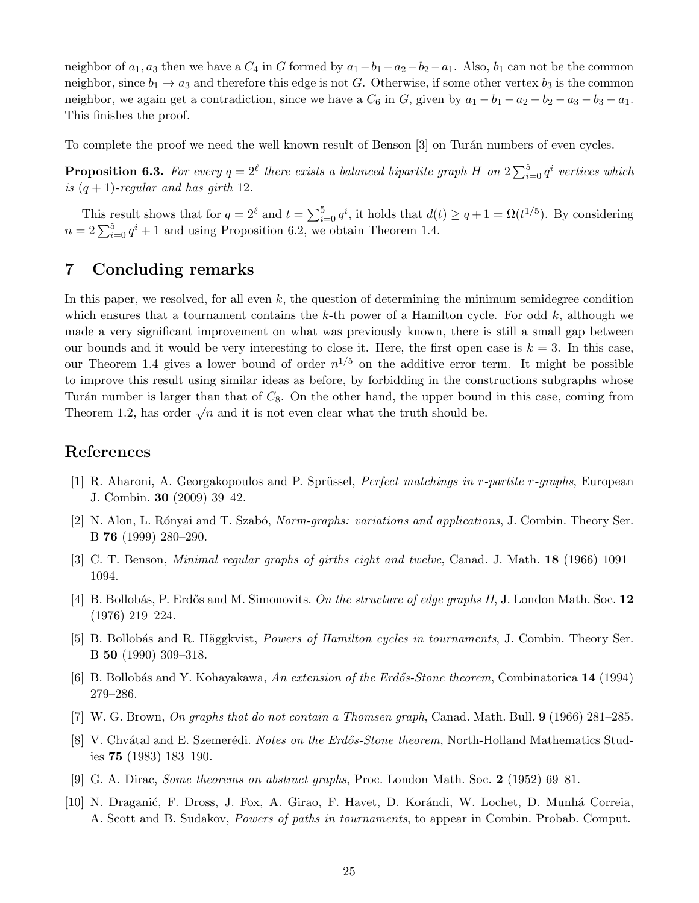neighbor of  $a_1, a_3$  then we have a  $C_4$  in G formed by  $a_1-b_1-a_2-b_2-a_1$ . Also,  $b_1$  can not be the common neighbor, since  $b_1 \rightarrow a_3$  and therefore this edge is not G. Otherwise, if some other vertex  $b_3$  is the common neighbor, we again get a contradiction, since we have a  $C_6$  in G, given by  $a_1 - b_1 - a_2 - b_2 - a_3 - b_3 - a_1$ . This finishes the proof.  $\Box$ 

To complete the proof we need the well known result of Benson [\[3\]](#page-24-10) on Turán numbers of even cycles.

**Proposition 6.3.** For every  $q = 2^{\ell}$  there exists a balanced bipartite graph H on  $2\sum_{i=0}^{5} q^i$  vertices which is  $(q + 1)$ -regular and has girth 12.

This result shows that for  $q = 2^{\ell}$  and  $t = \sum_{i=0}^{5} q^{i}$ , it holds that  $d(t) \geq q + 1 = \Omega(t^{1/5})$ . By considering  $n = 2\sum_{i=0}^{5} q^{i} + 1$  and using Proposition [6.2,](#page-22-2) we obtain Theorem [1.4.](#page-2-1)

# <span id="page-24-9"></span>7 Concluding remarks

In this paper, we resolved, for all even  $k$ , the question of determining the minimum semidegree condition which ensures that a tournament contains the k-th power of a Hamilton cycle. For odd  $k$ , although we made a very significant improvement on what was previously known, there is still a small gap between our bounds and it would be very interesting to close it. Here, the first open case is  $k = 3$ . In this case, our Theorem [1.4](#page-2-1) gives a lower bound of order  $n^{1/5}$  on the additive error term. It might be possible to improve this result using similar ideas as before, by forbidding in the constructions subgraphs whose Turán number is larger than that of  $C_8$ . On the other hand, the upper bound in this case, coming from Theorem [1.2,](#page-1-1) has order  $\sqrt{n}$  and it is not even clear what the truth should be.

# References

- <span id="page-24-2"></span>[1] R. Aharoni, A. Georgakopoulos and P. Sprüssel, *Perfect matchings in r-partite r-graphs*, European J. Combin. 30 (2009) 39–42.
- <span id="page-24-6"></span>[2] N. Alon, L. Rónyai and T. Szabó, *Norm-graphs: variations and applications*, J. Combin. Theory Ser. B 76 (1999) 280–290.
- <span id="page-24-10"></span>[3] C. T. Benson, Minimal regular graphs of girths eight and twelve, Canad. J. Math. 18 (1966) 1091– 1094.
- <span id="page-24-3"></span>[4] B. Bollobás, P. Erdős and M. Simonovits. On the structure of edge graphs II, J. London Math. Soc. 12 (1976) 219–224.
- <span id="page-24-1"></span>[5] B. Bollobás and R. Häggkvist, *Powers of Hamilton cycles in tournaments*, J. Combin. Theory Ser. B 50 (1990) 309–318.
- <span id="page-24-4"></span>[6] B. Bollobás and Y. Kohayakawa, An extension of the Erdős-Stone theorem, Combinatorica 14 (1994) 279–286.
- <span id="page-24-7"></span>[7] W. G. Brown, On graphs that do not contain a Thomsen graph, Canad. Math. Bull. 9 (1966) 281–285.
- <span id="page-24-5"></span>[8] V. Chvátal and E. Szemerédi. *Notes on the Erdős-Stone theorem*, North-Holland Mathematics Studies 75 (1983) 183–190.
- <span id="page-24-0"></span>[9] G. A. Dirac, Some theorems on abstract graphs, Proc. London Math. Soc. 2 (1952) 69–81.
- <span id="page-24-8"></span>[10] N. Draganić, F. Dross, J. Fox, A. Girao, F. Havet, D. Korándi, W. Lochet, D. Munhá Correia, A. Scott and B. Sudakov, Powers of paths in tournaments, to appear in Combin. Probab. Comput.